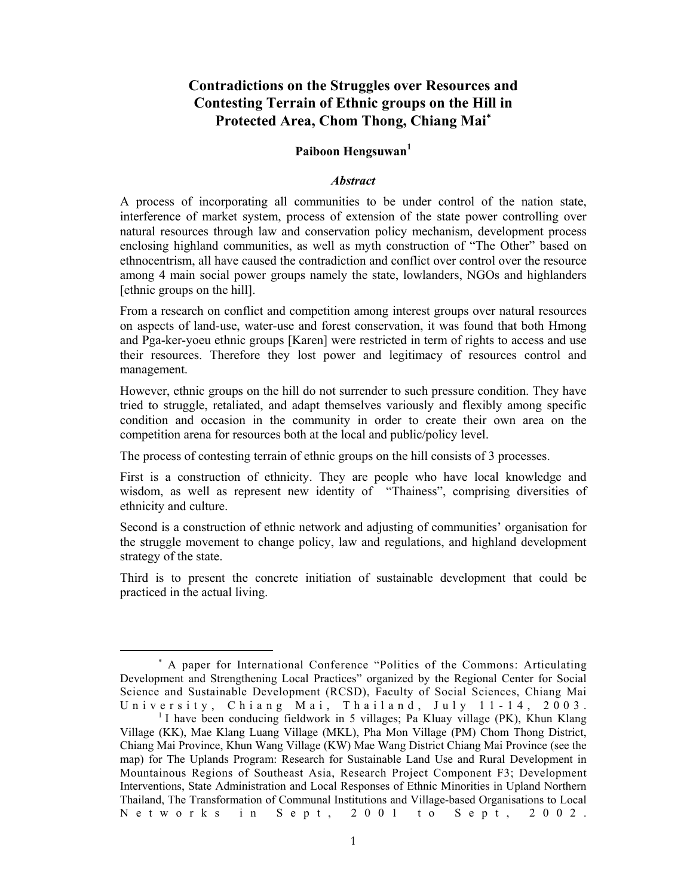# **Contradictions on the Struggles over Resources and Contesting Terrain of Ethnic groups on the Hill in Protected Area, Chom Thong, Chiang Mai**<sup>∗</sup>

# **Paiboon Hengsuwan<sup>1</sup>**

## *Abstract*

A process of incorporating all communities to be under control of the nation state, interference of market system, process of extension of the state power controlling over natural resources through law and conservation policy mechanism, development process enclosing highland communities, as well as myth construction of "The Other" based on ethnocentrism, all have caused the contradiction and conflict over control over the resource among 4 main social power groups namely the state, lowlanders, NGOs and highlanders [ethnic groups on the hill].

From a research on conflict and competition among interest groups over natural resources on aspects of land-use, water-use and forest conservation, it was found that both Hmong and Pga-ker-yoeu ethnic groups [Karen] were restricted in term of rights to access and use their resources. Therefore they lost power and legitimacy of resources control and management.

However, ethnic groups on the hill do not surrender to such pressure condition. They have tried to struggle, retaliated, and adapt themselves variously and flexibly among specific condition and occasion in the community in order to create their own area on the competition arena for resources both at the local and public/policy level.

The process of contesting terrain of ethnic groups on the hill consists of 3 processes.

First is a construction of ethnicity. They are people who have local knowledge and wisdom, as well as represent new identity of "Thainess", comprising diversities of ethnicity and culture.

Second is a construction of ethnic network and adjusting of communities' organisation for the struggle movement to change policy, law and regulations, and highland development strategy of the state.

Third is to present the concrete initiation of sustainable development that could be practiced in the actual living.

<sup>∗</sup> A paper for International Conference "Politics of the Commons: Articulating Development and Strengthening Local Practices" organized by the Regional Center for Social Science and Sustainable Development (RCSD), Faculty of Social Sciences, Chiang Mai University, Chiang Mai, Thailand, July 11-14, 2003.

<sup>&</sup>lt;sup>1</sup> I have been conducing fieldwork in 5 villages; Pa Kluay village (PK), Khun Klang Village (KK), Mae Klang Luang Village (MKL), Pha Mon Village (PM) Chom Thong District, Chiang Mai Province, Khun Wang Village (KW) Mae Wang District Chiang Mai Province (see the map) for The Uplands Program: Research for Sustainable Land Use and Rural Development in Mountainous Regions of Southeast Asia, Research Project Component F3; Development Interventions, State Administration and Local Responses of Ethnic Minorities in Upland Northern Thailand, The Transformation of Communal Institutions and Village-based Organisations to Local  $N$  etworks in Sept,  $2001$  to Sept,  $2002$ .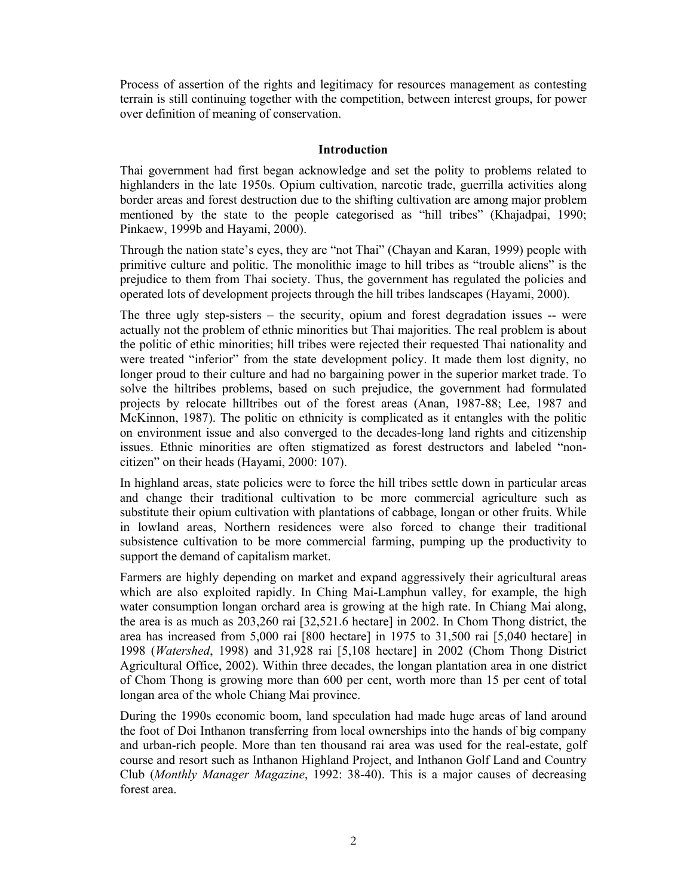Process of assertion of the rights and legitimacy for resources management as contesting terrain is still continuing together with the competition, between interest groups, for power over definition of meaning of conservation.

### **Introduction**

Thai government had first began acknowledge and set the polity to problems related to highlanders in the late 1950s. Opium cultivation, narcotic trade, guerrilla activities along border areas and forest destruction due to the shifting cultivation are among major problem mentioned by the state to the people categorised as "hill tribes" (Khajadpai, 1990; Pinkaew, 1999b and Hayami, 2000).

Through the nation state's eyes, they are "not Thai" (Chayan and Karan, 1999) people with primitive culture and politic. The monolithic image to hill tribes as "trouble aliens" is the prejudice to them from Thai society. Thus, the government has regulated the policies and operated lots of development projects through the hill tribes landscapes (Hayami, 2000).

The three ugly step-sisters – the security, opium and forest degradation issues -- were actually not the problem of ethnic minorities but Thai majorities. The real problem is about the politic of ethic minorities; hill tribes were rejected their requested Thai nationality and were treated "inferior" from the state development policy. It made them lost dignity, no longer proud to their culture and had no bargaining power in the superior market trade. To solve the hiltribes problems, based on such prejudice, the government had formulated projects by relocate hilltribes out of the forest areas (Anan, 1987-88; Lee, 1987 and McKinnon, 1987). The politic on ethnicity is complicated as it entangles with the politic on environment issue and also converged to the decades-long land rights and citizenship issues. Ethnic minorities are often stigmatized as forest destructors and labeled "noncitizen" on their heads (Hayami, 2000: 107).

In highland areas, state policies were to force the hill tribes settle down in particular areas and change their traditional cultivation to be more commercial agriculture such as substitute their opium cultivation with plantations of cabbage, longan or other fruits. While in lowland areas, Northern residences were also forced to change their traditional subsistence cultivation to be more commercial farming, pumping up the productivity to support the demand of capitalism market.

Farmers are highly depending on market and expand aggressively their agricultural areas which are also exploited rapidly. In Ching Mai-Lamphun valley, for example, the high water consumption longan orchard area is growing at the high rate. In Chiang Mai along, the area is as much as 203,260 rai [32,521.6 hectare] in 2002. In Chom Thong district, the area has increased from 5,000 rai [800 hectare] in 1975 to 31,500 rai [5,040 hectare] in 1998 (*Watershed*, 1998) and 31,928 rai [5,108 hectare] in 2002 (Chom Thong District Agricultural Office, 2002). Within three decades, the longan plantation area in one district of Chom Thong is growing more than 600 per cent, worth more than 15 per cent of total longan area of the whole Chiang Mai province.

During the 1990s economic boom, land speculation had made huge areas of land around the foot of Doi Inthanon transferring from local ownerships into the hands of big company and urban-rich people. More than ten thousand rai area was used for the real-estate, golf course and resort such as Inthanon Highland Project, and Inthanon Golf Land and Country Club (*Monthly Manager Magazine*, 1992: 38-40). This is a major causes of decreasing forest area.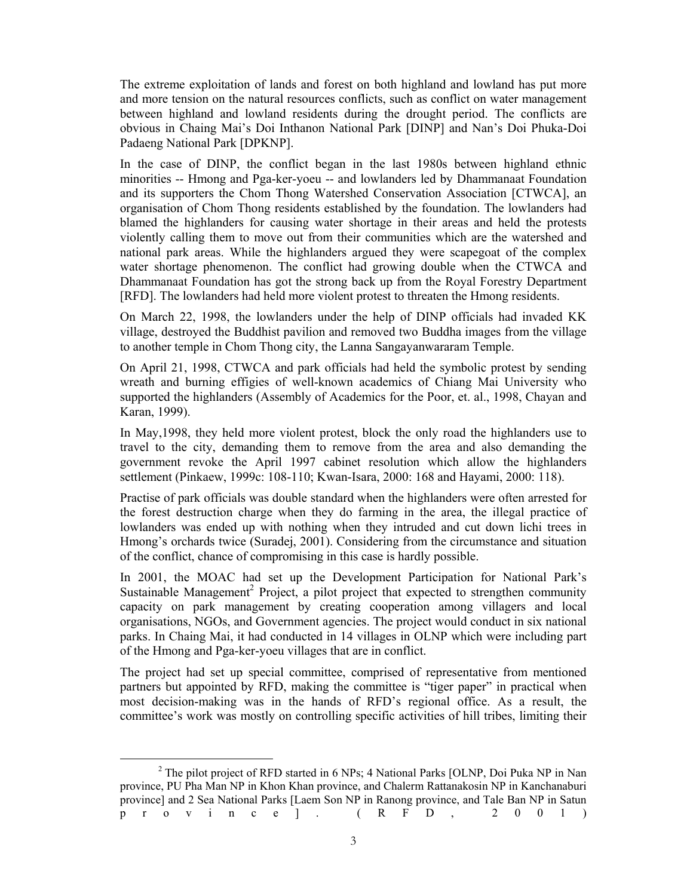The extreme exploitation of lands and forest on both highland and lowland has put more and more tension on the natural resources conflicts, such as conflict on water management between highland and lowland residents during the drought period. The conflicts are obvious in Chaing Mai's Doi Inthanon National Park [DINP] and Nan's Doi Phuka-Doi Padaeng National Park [DPKNP].

In the case of DINP, the conflict began in the last 1980s between highland ethnic minorities -- Hmong and Pga-ker-yoeu -- and lowlanders led by Dhammanaat Foundation and its supporters the Chom Thong Watershed Conservation Association [CTWCA], an organisation of Chom Thong residents established by the foundation. The lowlanders had blamed the highlanders for causing water shortage in their areas and held the protests violently calling them to move out from their communities which are the watershed and national park areas. While the highlanders argued they were scapegoat of the complex water shortage phenomenon. The conflict had growing double when the CTWCA and Dhammanaat Foundation has got the strong back up from the Royal Forestry Department [RFD]. The lowlanders had held more violent protest to threaten the Hmong residents.

On March 22, 1998, the lowlanders under the help of DINP officials had invaded KK village, destroyed the Buddhist pavilion and removed two Buddha images from the village to another temple in Chom Thong city, the Lanna Sangayanwararam Temple.

On April 21, 1998, CTWCA and park officials had held the symbolic protest by sending wreath and burning effigies of well-known academics of Chiang Mai University who supported the highlanders (Assembly of Academics for the Poor, et. al., 1998, Chayan and Karan, 1999).

In May,1998, they held more violent protest, block the only road the highlanders use to travel to the city, demanding them to remove from the area and also demanding the government revoke the April 1997 cabinet resolution which allow the highlanders settlement (Pinkaew, 1999c: 108-110; Kwan-Isara, 2000: 168 and Hayami, 2000: 118).

Practise of park officials was double standard when the highlanders were often arrested for the forest destruction charge when they do farming in the area, the illegal practice of lowlanders was ended up with nothing when they intruded and cut down lichi trees in Hmong's orchards twice (Suradej, 2001). Considering from the circumstance and situation of the conflict, chance of compromising in this case is hardly possible.

In 2001, the MOAC had set up the Development Participation for National Park's Sustainable Management<sup>2</sup> Project, a pilot project that expected to strengthen community capacity on park management by creating cooperation among villagers and local organisations, NGOs, and Government agencies. The project would conduct in six national parks. In Chaing Mai, it had conducted in 14 villages in OLNP which were including part of the Hmong and Pga-ker-yoeu villages that are in conflict.

The project had set up special committee, comprised of representative from mentioned partners but appointed by RFD, making the committee is "tiger paper" in practical when most decision-making was in the hands of RFD's regional office. As a result, the committee's work was mostly on controlling specific activities of hill tribes, limiting their

 $\overline{\phantom{a}}$  2  $2$  The pilot project of RFD started in 6 NPs; 4 National Parks [OLNP, Doi Puka NP in Nan province, PU Pha Man NP in Khon Khan province, and Chalerm Rattanakosin NP in Kanchanaburi province] and 2 Sea National Parks [Laem Son NP in Ranong province, and Tale Ban NP in Satun p r o v i n c e ] . ( R F D , 2 0 0 1 )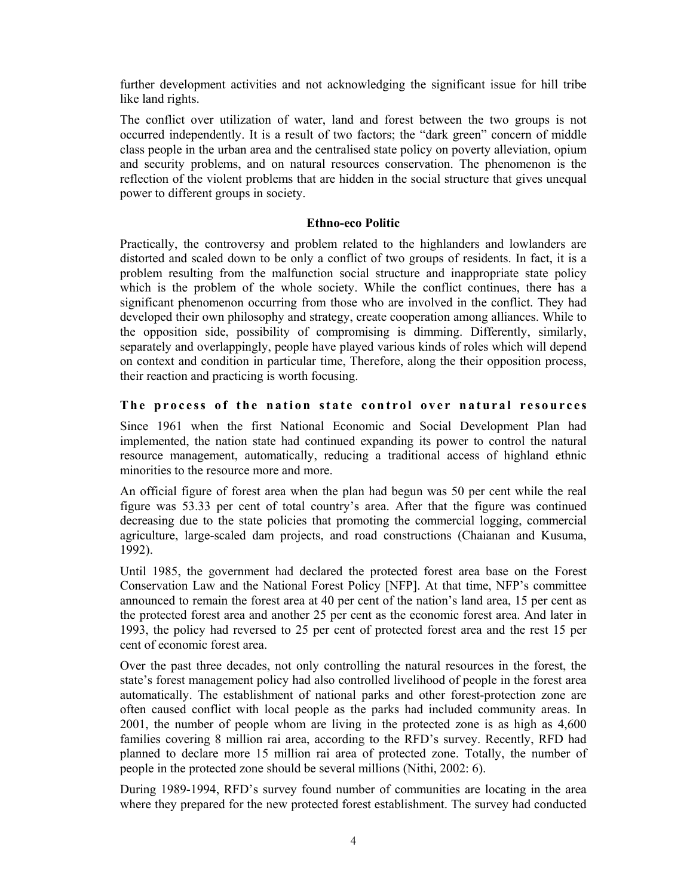further development activities and not acknowledging the significant issue for hill tribe like land rights.

The conflict over utilization of water, land and forest between the two groups is not occurred independently. It is a result of two factors; the "dark green" concern of middle class people in the urban area and the centralised state policy on poverty alleviation, opium and security problems, and on natural resources conservation. The phenomenon is the reflection of the violent problems that are hidden in the social structure that gives unequal power to different groups in society.

# **Ethno-eco Politic**

Practically, the controversy and problem related to the highlanders and lowlanders are distorted and scaled down to be only a conflict of two groups of residents. In fact, it is a problem resulting from the malfunction social structure and inappropriate state policy which is the problem of the whole society. While the conflict continues, there has a significant phenomenon occurring from those who are involved in the conflict. They had developed their own philosophy and strategy, create cooperation among alliances. While to the opposition side, possibility of compromising is dimming. Differently, similarly, separately and overlappingly, people have played various kinds of roles which will depend on context and condition in particular time, Therefore, along the their opposition process, their reaction and practicing is worth focusing.

# The process of the nation state control over natural resources

Since 1961 when the first National Economic and Social Development Plan had implemented, the nation state had continued expanding its power to control the natural resource management, automatically, reducing a traditional access of highland ethnic minorities to the resource more and more.

An official figure of forest area when the plan had begun was 50 per cent while the real figure was 53.33 per cent of total country's area. After that the figure was continued decreasing due to the state policies that promoting the commercial logging, commercial agriculture, large-scaled dam projects, and road constructions (Chaianan and Kusuma, 1992).

Until 1985, the government had declared the protected forest area base on the Forest Conservation Law and the National Forest Policy [NFP]. At that time, NFP's committee announced to remain the forest area at 40 per cent of the nation's land area, 15 per cent as the protected forest area and another 25 per cent as the economic forest area. And later in 1993, the policy had reversed to 25 per cent of protected forest area and the rest 15 per cent of economic forest area.

Over the past three decades, not only controlling the natural resources in the forest, the state's forest management policy had also controlled livelihood of people in the forest area automatically. The establishment of national parks and other forest-protection zone are often caused conflict with local people as the parks had included community areas. In 2001, the number of people whom are living in the protected zone is as high as 4,600 families covering 8 million rai area, according to the RFD's survey. Recently, RFD had planned to declare more 15 million rai area of protected zone. Totally, the number of people in the protected zone should be several millions (Nithi, 2002: 6).

During 1989-1994, RFD's survey found number of communities are locating in the area where they prepared for the new protected forest establishment. The survey had conducted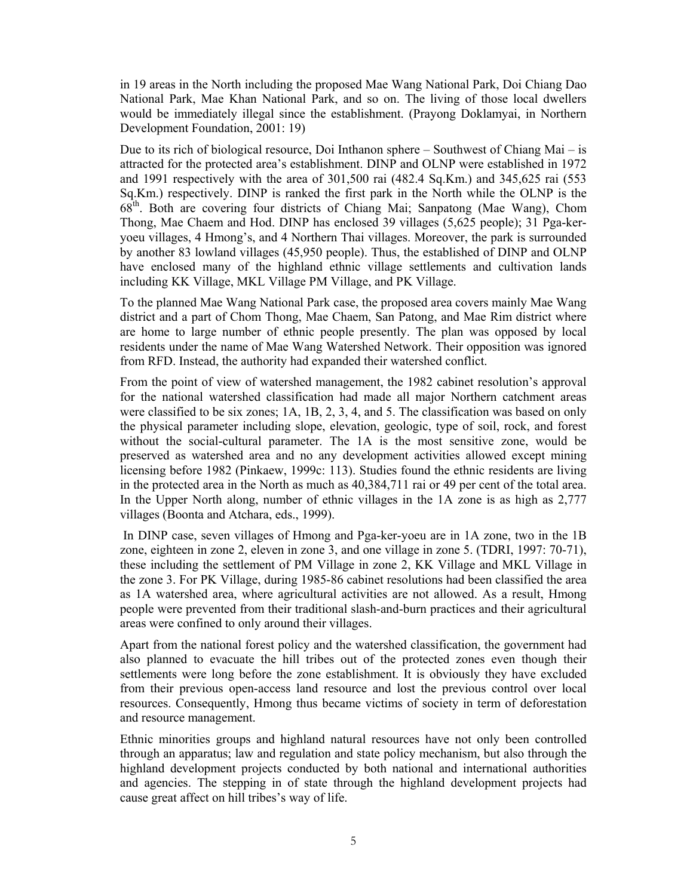in 19 areas in the North including the proposed Mae Wang National Park, Doi Chiang Dao National Park, Mae Khan National Park, and so on. The living of those local dwellers would be immediately illegal since the establishment. (Prayong Doklamyai, in Northern Development Foundation, 2001: 19)

Due to its rich of biological resource, Doi Inthanon sphere – Southwest of Chiang Mai – is attracted for the protected area's establishment. DINP and OLNP were established in 1972 and 1991 respectively with the area of 301,500 rai (482.4 Sq.Km.) and 345,625 rai (553 Sq.Km.) respectively. DINP is ranked the first park in the North while the OLNP is the 68th. Both are covering four districts of Chiang Mai; Sanpatong (Mae Wang), Chom Thong, Mae Chaem and Hod. DINP has enclosed 39 villages (5,625 people); 31 Pga-keryoeu villages, 4 Hmong's, and 4 Northern Thai villages. Moreover, the park is surrounded by another 83 lowland villages (45,950 people). Thus, the established of DINP and OLNP have enclosed many of the highland ethnic village settlements and cultivation lands including KK Village, MKL Village PM Village, and PK Village.

To the planned Mae Wang National Park case, the proposed area covers mainly Mae Wang district and a part of Chom Thong, Mae Chaem, San Patong, and Mae Rim district where are home to large number of ethnic people presently. The plan was opposed by local residents under the name of Mae Wang Watershed Network. Their opposition was ignored from RFD. Instead, the authority had expanded their watershed conflict.

From the point of view of watershed management, the 1982 cabinet resolution's approval for the national watershed classification had made all major Northern catchment areas were classified to be six zones; 1A, 1B, 2, 3, 4, and 5. The classification was based on only the physical parameter including slope, elevation, geologic, type of soil, rock, and forest without the social-cultural parameter. The 1A is the most sensitive zone, would be preserved as watershed area and no any development activities allowed except mining licensing before 1982 (Pinkaew, 1999c: 113). Studies found the ethnic residents are living in the protected area in the North as much as 40,384,711 rai or 49 per cent of the total area. In the Upper North along, number of ethnic villages in the 1A zone is as high as 2,777 villages (Boonta and Atchara, eds., 1999).

 In DINP case, seven villages of Hmong and Pga-ker-yoeu are in 1A zone, two in the 1B zone, eighteen in zone 2, eleven in zone 3, and one village in zone 5. (TDRI, 1997: 70-71), these including the settlement of PM Village in zone 2, KK Village and MKL Village in the zone 3. For PK Village, during 1985-86 cabinet resolutions had been classified the area as 1A watershed area, where agricultural activities are not allowed. As a result, Hmong people were prevented from their traditional slash-and-burn practices and their agricultural areas were confined to only around their villages.

Apart from the national forest policy and the watershed classification, the government had also planned to evacuate the hill tribes out of the protected zones even though their settlements were long before the zone establishment. It is obviously they have excluded from their previous open-access land resource and lost the previous control over local resources. Consequently, Hmong thus became victims of society in term of deforestation and resource management.

Ethnic minorities groups and highland natural resources have not only been controlled through an apparatus; law and regulation and state policy mechanism, but also through the highland development projects conducted by both national and international authorities and agencies. The stepping in of state through the highland development projects had cause great affect on hill tribes's way of life.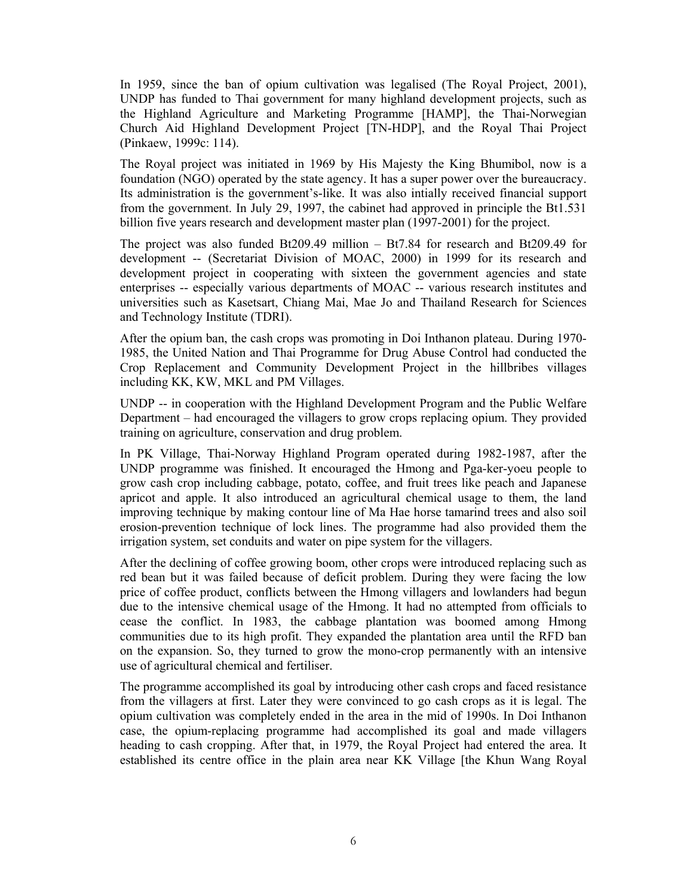In 1959, since the ban of opium cultivation was legalised (The Royal Project, 2001), UNDP has funded to Thai government for many highland development projects, such as the Highland Agriculture and Marketing Programme [HAMP], the Thai-Norwegian Church Aid Highland Development Project [TN-HDP], and the Royal Thai Project (Pinkaew, 1999c: 114).

The Royal project was initiated in 1969 by His Majesty the King Bhumibol, now is a foundation (NGO) operated by the state agency. It has a super power over the bureaucracy. Its administration is the government's-like. It was also intially received financial support from the government. In July 29, 1997, the cabinet had approved in principle the Bt1.531 billion five years research and development master plan (1997-2001) for the project.

The project was also funded Bt209.49 million – Bt7.84 for research and Bt209.49 for development -- (Secretariat Division of MOAC, 2000) in 1999 for its research and development project in cooperating with sixteen the government agencies and state enterprises -- especially various departments of MOAC -- various research institutes and universities such as Kasetsart, Chiang Mai, Mae Jo and Thailand Research for Sciences and Technology Institute (TDRI).

After the opium ban, the cash crops was promoting in Doi Inthanon plateau. During 1970- 1985, the United Nation and Thai Programme for Drug Abuse Control had conducted the Crop Replacement and Community Development Project in the hillbribes villages including KK, KW, MKL and PM Villages.

UNDP -- in cooperation with the Highland Development Program and the Public Welfare Department – had encouraged the villagers to grow crops replacing opium. They provided training on agriculture, conservation and drug problem.

In PK Village, Thai-Norway Highland Program operated during 1982-1987, after the UNDP programme was finished. It encouraged the Hmong and Pga-ker-yoeu people to grow cash crop including cabbage, potato, coffee, and fruit trees like peach and Japanese apricot and apple. It also introduced an agricultural chemical usage to them, the land improving technique by making contour line of Ma Hae horse tamarind trees and also soil erosion-prevention technique of lock lines. The programme had also provided them the irrigation system, set conduits and water on pipe system for the villagers.

After the declining of coffee growing boom, other crops were introduced replacing such as red bean but it was failed because of deficit problem. During they were facing the low price of coffee product, conflicts between the Hmong villagers and lowlanders had begun due to the intensive chemical usage of the Hmong. It had no attempted from officials to cease the conflict. In 1983, the cabbage plantation was boomed among Hmong communities due to its high profit. They expanded the plantation area until the RFD ban on the expansion. So, they turned to grow the mono-crop permanently with an intensive use of agricultural chemical and fertiliser.

The programme accomplished its goal by introducing other cash crops and faced resistance from the villagers at first. Later they were convinced to go cash crops as it is legal. The opium cultivation was completely ended in the area in the mid of 1990s. In Doi Inthanon case, the opium-replacing programme had accomplished its goal and made villagers heading to cash cropping. After that, in 1979, the Royal Project had entered the area. It established its centre office in the plain area near KK Village [the Khun Wang Royal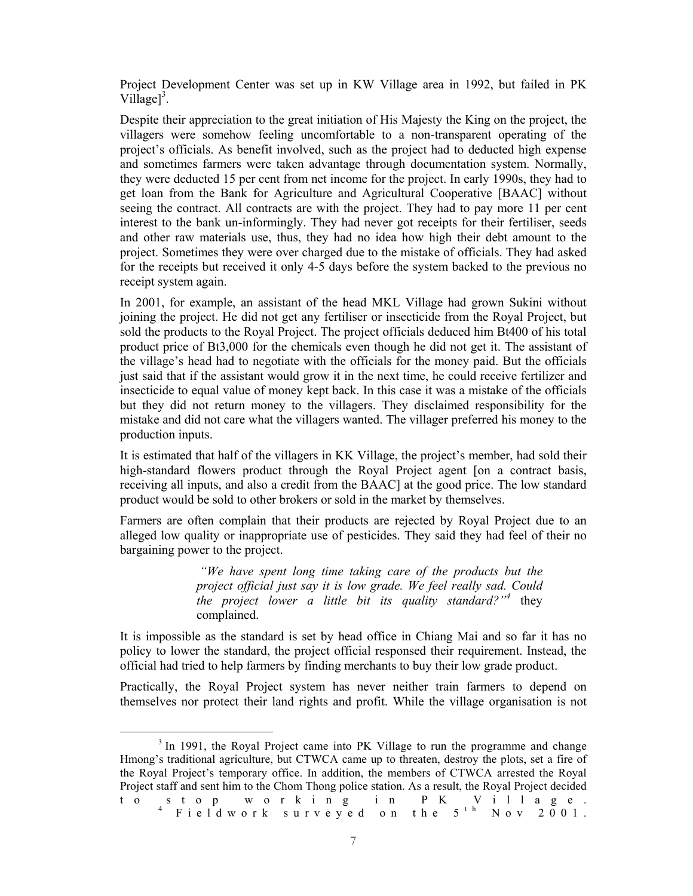Project Development Center was set up in KW Village area in 1992, but failed in PK Village $]$ <sup>3</sup>.

Despite their appreciation to the great initiation of His Majesty the King on the project, the villagers were somehow feeling uncomfortable to a non-transparent operating of the project's officials. As benefit involved, such as the project had to deducted high expense and sometimes farmers were taken advantage through documentation system. Normally, they were deducted 15 per cent from net income for the project. In early 1990s, they had to get loan from the Bank for Agriculture and Agricultural Cooperative [BAAC] without seeing the contract. All contracts are with the project. They had to pay more 11 per cent interest to the bank un-informingly. They had never got receipts for their fertiliser, seeds and other raw materials use, thus, they had no idea how high their debt amount to the project. Sometimes they were over charged due to the mistake of officials. They had asked for the receipts but received it only 4-5 days before the system backed to the previous no receipt system again.

In 2001, for example, an assistant of the head MKL Village had grown Sukini without joining the project. He did not get any fertiliser or insecticide from the Royal Project, but sold the products to the Royal Project. The project officials deduced him Bt400 of his total product price of Bt3,000 for the chemicals even though he did not get it. The assistant of the village's head had to negotiate with the officials for the money paid. But the officials just said that if the assistant would grow it in the next time, he could receive fertilizer and insecticide to equal value of money kept back. In this case it was a mistake of the officials but they did not return money to the villagers. They disclaimed responsibility for the mistake and did not care what the villagers wanted. The villager preferred his money to the production inputs.

It is estimated that half of the villagers in KK Village, the project's member, had sold their high-standard flowers product through the Royal Project agent [on a contract basis, receiving all inputs, and also a credit from the BAAC] at the good price. The low standard product would be sold to other brokers or sold in the market by themselves.

Farmers are often complain that their products are rejected by Royal Project due to an alleged low quality or inappropriate use of pesticides. They said they had feel of their no bargaining power to the project.

> *"We have spent long time taking care of the products but the project official just say it is low grade. We feel really sad. Could the project lower a little bit its quality standard?"<sup>4</sup>* they complained.

It is impossible as the standard is set by head office in Chiang Mai and so far it has no policy to lower the standard, the project official responsed their requirement. Instead, the official had tried to help farmers by finding merchants to buy their low grade product.

Practically, the Royal Project system has never neither train farmers to depend on themselves nor protect their land rights and profit. While the village organisation is not

<sup>3</sup>  $3$  In 1991, the Royal Project came into PK Village to run the programme and change Hmong's traditional agriculture, but CTWCA came up to threaten, destroy the plots, set a fire of the Royal Project's temporary office. In addition, the members of CTWCA arrested the Royal Project staff and sent him to the Chom Thong police station. As a result, the Royal Project decided t o s t o p w or k i n g i n P K V i l l a g e .<br><sup>4</sup> F i e l d w or k surveyed on the 5<sup>th</sup> N ov 2001.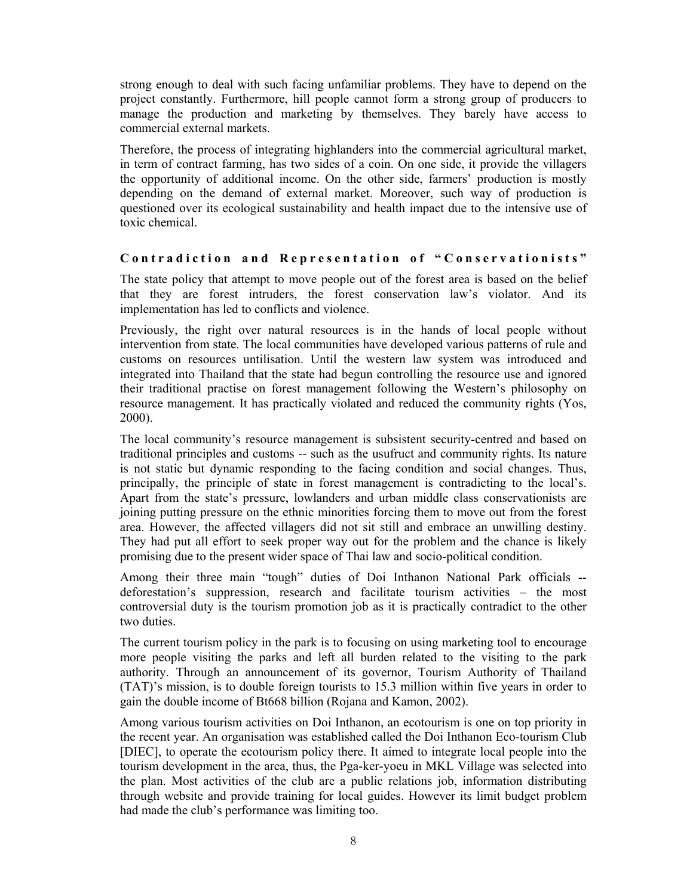strong enough to deal with such facing unfamiliar problems. They have to depend on the project constantly. Furthermore, hill people cannot form a strong group of producers to manage the production and marketing by themselves. They barely have access to commercial external markets.

Therefore, the process of integrating highlanders into the commercial agricultural market, in term of contract farming, has two sides of a coin. On one side, it provide the villagers the opportunity of additional income. On the other side, farmers' production is mostly depending on the demand of external market. Moreover, such way of production is questioned over its ecological sustainability and health impact due to the intensive use of toxic chemical.

# Contradiction and Representation of "Conservationists"

The state policy that attempt to move people out of the forest area is based on the belief that they are forest intruders, the forest conservation law's violator. And its implementation has led to conflicts and violence.

Previously, the right over natural resources is in the hands of local people without intervention from state. The local communities have developed various patterns of rule and customs on resources untilisation. Until the western law system was introduced and integrated into Thailand that the state had begun controlling the resource use and ignored their traditional practise on forest management following the Western's philosophy on resource management. It has practically violated and reduced the community rights (Yos, 2000).

The local community's resource management is subsistent security-centred and based on traditional principles and customs -- such as the usufruct and community rights. Its nature is not static but dynamic responding to the facing condition and social changes. Thus, principally, the principle of state in forest management is contradicting to the local's. Apart from the state's pressure, lowlanders and urban middle class conservationists are joining putting pressure on the ethnic minorities forcing them to move out from the forest area. However, the affected villagers did not sit still and embrace an unwilling destiny. They had put all effort to seek proper way out for the problem and the chance is likely promising due to the present wider space of Thai law and socio-political condition.

Among their three main "tough" duties of Doi Inthanon National Park officials - deforestation's suppression, research and facilitate tourism activities – the most controversial duty is the tourism promotion job as it is practically contradict to the other two duties.

The current tourism policy in the park is to focusing on using marketing tool to encourage more people visiting the parks and left all burden related to the visiting to the park authority. Through an announcement of its governor, Tourism Authority of Thailand (TAT)'s mission, is to double foreign tourists to 15.3 million within five years in order to gain the double income of Bt668 billion (Rojana and Kamon, 2002).

Among various tourism activities on Doi Inthanon, an ecotourism is one on top priority in the recent year. An organisation was established called the Doi Inthanon Eco-tourism Club [DIEC], to operate the ecotourism policy there. It aimed to integrate local people into the tourism development in the area, thus, the Pga-ker-yoeu in MKL Village was selected into the plan. Most activities of the club are a public relations job, information distributing through website and provide training for local guides. However its limit budget problem had made the club's performance was limiting too.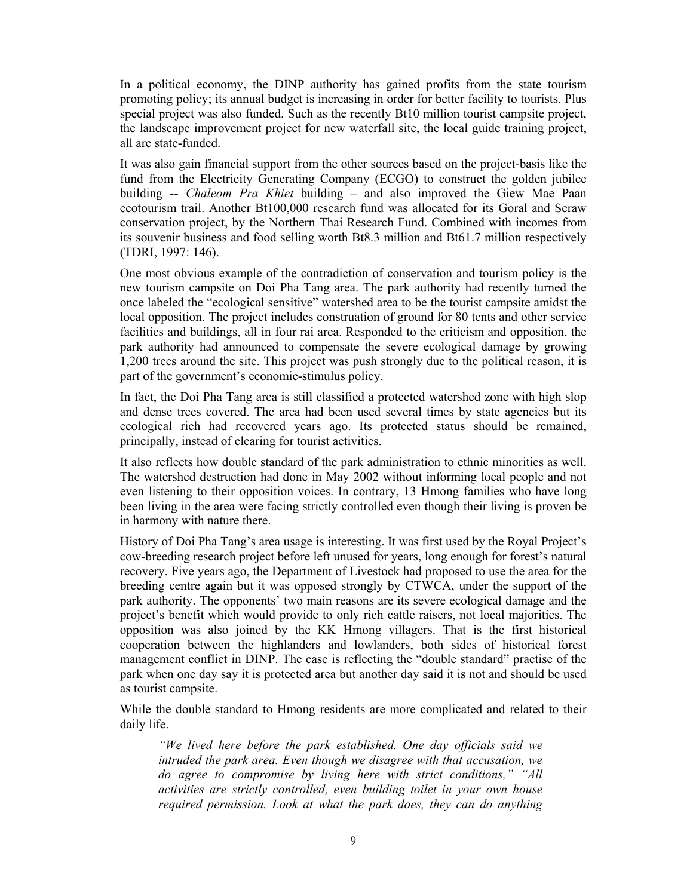In a political economy, the DINP authority has gained profits from the state tourism promoting policy; its annual budget is increasing in order for better facility to tourists. Plus special project was also funded. Such as the recently Bt10 million tourist campsite project, the landscape improvement project for new waterfall site, the local guide training project, all are state-funded.

It was also gain financial support from the other sources based on the project-basis like the fund from the Electricity Generating Company (ECGO) to construct the golden jubilee building -- *Chaleom Pra Khiet* building – and also improved the Giew Mae Paan ecotourism trail. Another Bt100,000 research fund was allocated for its Goral and Seraw conservation project, by the Northern Thai Research Fund. Combined with incomes from its souvenir business and food selling worth Bt8.3 million and Bt61.7 million respectively (TDRI, 1997: 146).

One most obvious example of the contradiction of conservation and tourism policy is the new tourism campsite on Doi Pha Tang area. The park authority had recently turned the once labeled the "ecological sensitive" watershed area to be the tourist campsite amidst the local opposition. The project includes construation of ground for 80 tents and other service facilities and buildings, all in four rai area. Responded to the criticism and opposition, the park authority had announced to compensate the severe ecological damage by growing 1,200 trees around the site. This project was push strongly due to the political reason, it is part of the government's economic-stimulus policy.

In fact, the Doi Pha Tang area is still classified a protected watershed zone with high slop and dense trees covered. The area had been used several times by state agencies but its ecological rich had recovered years ago. Its protected status should be remained, principally, instead of clearing for tourist activities.

It also reflects how double standard of the park administration to ethnic minorities as well. The watershed destruction had done in May 2002 without informing local people and not even listening to their opposition voices. In contrary, 13 Hmong families who have long been living in the area were facing strictly controlled even though their living is proven be in harmony with nature there.

History of Doi Pha Tang's area usage is interesting. It was first used by the Royal Project's cow-breeding research project before left unused for years, long enough for forest's natural recovery. Five years ago, the Department of Livestock had proposed to use the area for the breeding centre again but it was opposed strongly by CTWCA, under the support of the park authority. The opponents' two main reasons are its severe ecological damage and the project's benefit which would provide to only rich cattle raisers, not local majorities. The opposition was also joined by the KK Hmong villagers. That is the first historical cooperation between the highlanders and lowlanders, both sides of historical forest management conflict in DINP. The case is reflecting the "double standard" practise of the park when one day say it is protected area but another day said it is not and should be used as tourist campsite.

While the double standard to Hmong residents are more complicated and related to their daily life.

*"We lived here before the park established. One day officials said we intruded the park area. Even though we disagree with that accusation, we do agree to compromise by living here with strict conditions," "All activities are strictly controlled, even building toilet in your own house required permission. Look at what the park does, they can do anything*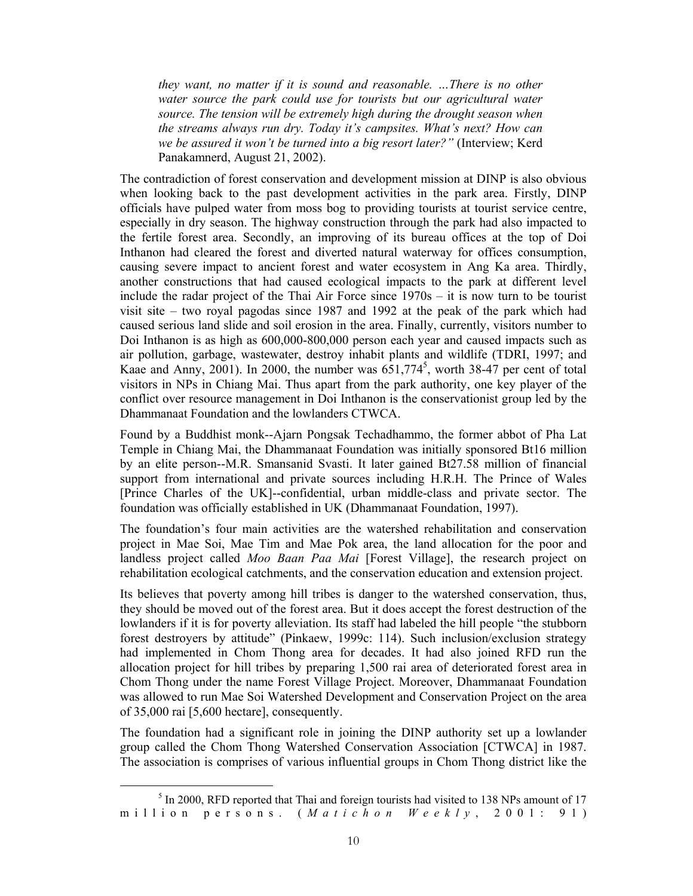*they want, no matter if it is sound and reasonable. …There is no other water source the park could use for tourists but our agricultural water source. The tension will be extremely high during the drought season when the streams always run dry. Today it's campsites. What's next? How can we be assured it won't be turned into a big resort later?"* (Interview; Kerd Panakamnerd, August 21, 2002).

The contradiction of forest conservation and development mission at DINP is also obvious when looking back to the past development activities in the park area. Firstly, DINP officials have pulped water from moss bog to providing tourists at tourist service centre, especially in dry season. The highway construction through the park had also impacted to the fertile forest area. Secondly, an improving of its bureau offices at the top of Doi Inthanon had cleared the forest and diverted natural waterway for offices consumption, causing severe impact to ancient forest and water ecosystem in Ang Ka area. Thirdly, another constructions that had caused ecological impacts to the park at different level include the radar project of the Thai Air Force since 1970s – it is now turn to be tourist visit site – two royal pagodas since 1987 and 1992 at the peak of the park which had caused serious land slide and soil erosion in the area. Finally, currently, visitors number to Doi Inthanon is as high as 600,000-800,000 person each year and caused impacts such as air pollution, garbage, wastewater, destroy inhabit plants and wildlife (TDRI, 1997; and Kaae and Anny, 2001). In 2000, the number was  $651,774^5$ , worth 38-47 per cent of total visitors in NPs in Chiang Mai. Thus apart from the park authority, one key player of the conflict over resource management in Doi Inthanon is the conservationist group led by the Dhammanaat Foundation and the lowlanders CTWCA.

Found by a Buddhist monk--Ajarn Pongsak Techadhammo, the former abbot of Pha Lat Temple in Chiang Mai, the Dhammanaat Foundation was initially sponsored Bt16 million by an elite person--M.R. Smansanid Svasti. It later gained Bt27.58 million of financial support from international and private sources including H.R.H. The Prince of Wales [Prince Charles of the UK]--confidential, urban middle-class and private sector. The foundation was officially established in UK (Dhammanaat Foundation, 1997).

The foundation's four main activities are the watershed rehabilitation and conservation project in Mae Soi, Mae Tim and Mae Pok area, the land allocation for the poor and landless project called *Moo Baan Paa Mai* [Forest Village], the research project on rehabilitation ecological catchments, and the conservation education and extension project.

Its believes that poverty among hill tribes is danger to the watershed conservation, thus, they should be moved out of the forest area. But it does accept the forest destruction of the lowlanders if it is for poverty alleviation. Its staff had labeled the hill people "the stubborn forest destroyers by attitude" (Pinkaew, 1999c: 114). Such inclusion/exclusion strategy had implemented in Chom Thong area for decades. It had also joined RFD run the allocation project for hill tribes by preparing 1,500 rai area of deteriorated forest area in Chom Thong under the name Forest Village Project. Moreover, Dhammanaat Foundation was allowed to run Mae Soi Watershed Development and Conservation Project on the area of 35,000 rai [5,600 hectare], consequently.

The foundation had a significant role in joining the DINP authority set up a lowlander group called the Chom Thong Watershed Conservation Association [CTWCA] in 1987. The association is comprises of various influential groups in Chom Thong district like the

 $rac{1}{5}$  $<sup>5</sup>$  In 2000, RFD reported that Thai and foreign tourists had visited to 138 NPs amount of 17</sup> million persons. ( *Matichon Weekly* , 2 0 0 1 : 9 1 )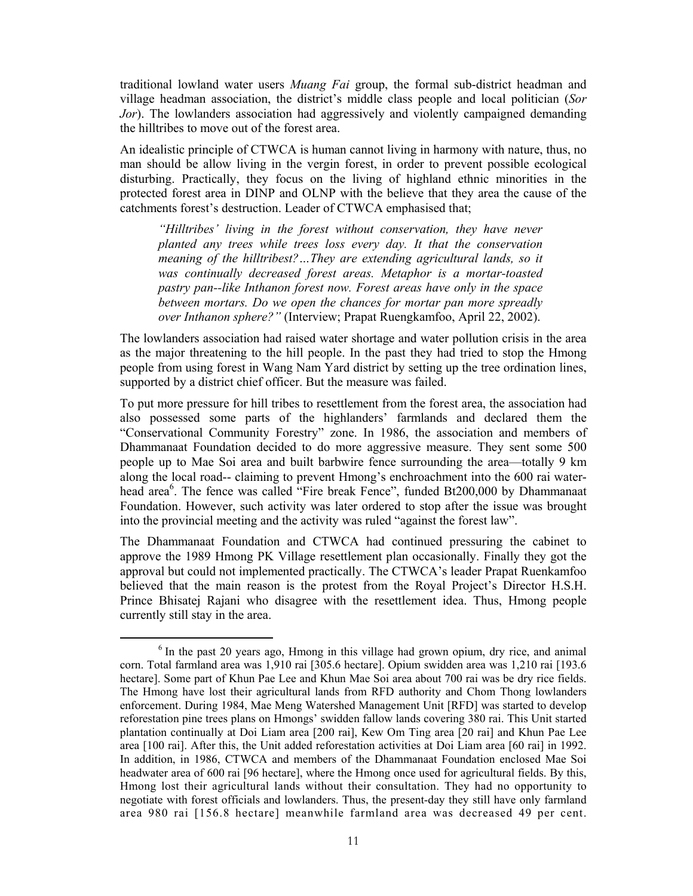traditional lowland water users *Muang Fai* group, the formal sub-district headman and village headman association, the district's middle class people and local politician (*Sor Jor*). The lowlanders association had aggressively and violently campaigned demanding the hilltribes to move out of the forest area.

An idealistic principle of CTWCA is human cannot living in harmony with nature, thus, no man should be allow living in the vergin forest, in order to prevent possible ecological disturbing. Practically, they focus on the living of highland ethnic minorities in the protected forest area in DINP and OLNP with the believe that they area the cause of the catchments forest's destruction. Leader of CTWCA emphasised that;

*"Hilltribes' living in the forest without conservation, they have never planted any trees while trees loss every day. It that the conservation meaning of the hilltribest?…They are extending agricultural lands, so it was continually decreased forest areas. Metaphor is a mortar-toasted pastry pan--like Inthanon forest now. Forest areas have only in the space between mortars. Do we open the chances for mortar pan more spreadly over Inthanon sphere?"* (Interview; Prapat Ruengkamfoo, April 22, 2002).

The lowlanders association had raised water shortage and water pollution crisis in the area as the major threatening to the hill people. In the past they had tried to stop the Hmong people from using forest in Wang Nam Yard district by setting up the tree ordination lines, supported by a district chief officer. But the measure was failed.

To put more pressure for hill tribes to resettlement from the forest area, the association had also possessed some parts of the highlanders' farmlands and declared them the "Conservational Community Forestry" zone. In 1986, the association and members of Dhammanaat Foundation decided to do more aggressive measure. They sent some 500 people up to Mae Soi area and built barbwire fence surrounding the area—totally 9 km along the local road-- claiming to prevent Hmong's enchroachment into the 600 rai waterhead area<sup>6</sup>. The fence was called "Fire break Fence", funded Bt200,000 by Dhammanaat Foundation. However, such activity was later ordered to stop after the issue was brought into the provincial meeting and the activity was ruled "against the forest law".

The Dhammanaat Foundation and CTWCA had continued pressuring the cabinet to approve the 1989 Hmong PK Village resettlement plan occasionally. Finally they got the approval but could not implemented practically. The CTWCA's leader Prapat Ruenkamfoo believed that the main reason is the protest from the Royal Project's Director H.S.H. Prince Bhisatej Rajani who disagree with the resettlement idea. Thus, Hmong people currently still stay in the area.

<sup>6</sup>  $6$  In the past 20 years ago, Hmong in this village had grown opium, dry rice, and animal corn. Total farmland area was 1,910 rai [305.6 hectare]. Opium swidden area was 1,210 rai [193.6 hectare]. Some part of Khun Pae Lee and Khun Mae Soi area about 700 rai was be dry rice fields. The Hmong have lost their agricultural lands from RFD authority and Chom Thong lowlanders enforcement. During 1984, Mae Meng Watershed Management Unit [RFD] was started to develop reforestation pine trees plans on Hmongs' swidden fallow lands covering 380 rai. This Unit started plantation continually at Doi Liam area [200 rai], Kew Om Ting area [20 rai] and Khun Pae Lee area [100 rai]. After this, the Unit added reforestation activities at Doi Liam area [60 rai] in 1992. In addition, in 1986, CTWCA and members of the Dhammanaat Foundation enclosed Mae Soi headwater area of 600 rai [96 hectare], where the Hmong once used for agricultural fields. By this, Hmong lost their agricultural lands without their consultation. They had no opportunity to negotiate with forest officials and lowlanders. Thus, the present-day they still have only farmland area 980 rai [156.8 hectare] meanwhile farmland area was decreased 49 per cent.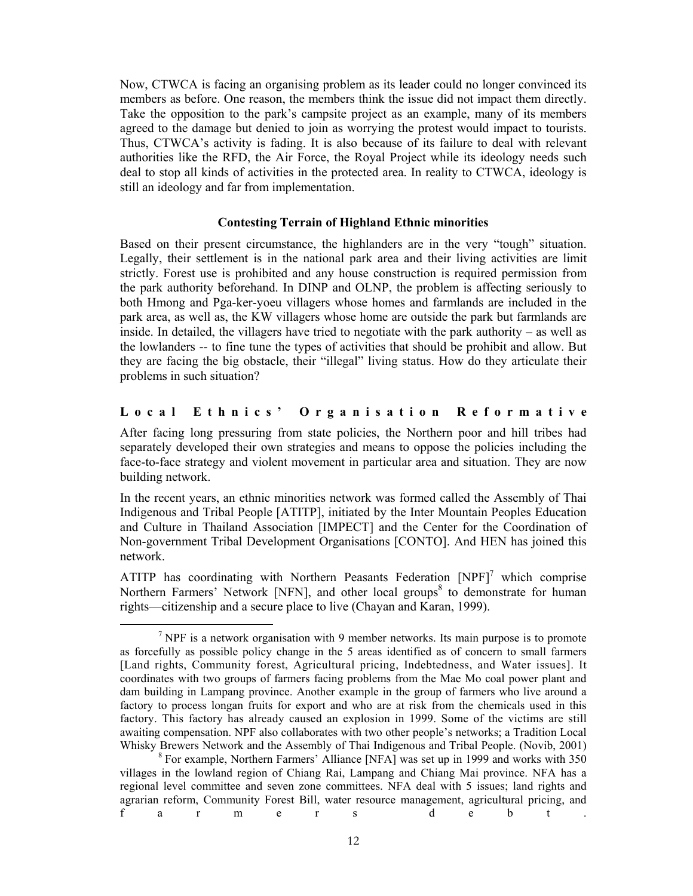Now, CTWCA is facing an organising problem as its leader could no longer convinced its members as before. One reason, the members think the issue did not impact them directly. Take the opposition to the park's campsite project as an example, many of its members agreed to the damage but denied to join as worrying the protest would impact to tourists. Thus, CTWCA's activity is fading. It is also because of its failure to deal with relevant authorities like the RFD, the Air Force, the Royal Project while its ideology needs such deal to stop all kinds of activities in the protected area. In reality to CTWCA, ideology is still an ideology and far from implementation.

## **Contesting Terrain of Highland Ethnic minorities**

Based on their present circumstance, the highlanders are in the very "tough" situation. Legally, their settlement is in the national park area and their living activities are limit strictly. Forest use is prohibited and any house construction is required permission from the park authority beforehand. In DINP and OLNP, the problem is affecting seriously to both Hmong and Pga-ker-yoeu villagers whose homes and farmlands are included in the park area, as well as, the KW villagers whose home are outside the park but farmlands are inside. In detailed, the villagers have tried to negotiate with the park authority – as well as the lowlanders -- to fine tune the types of activities that should be prohibit and allow. But they are facing the big obstacle, their "illegal" living status. How do they articulate their problems in such situation?

# **L o c a l E t h n i c s ' O r g a n i s a t i o n R e f o r m a t i v e**

After facing long pressuring from state policies, the Northern poor and hill tribes had separately developed their own strategies and means to oppose the policies including the face-to-face strategy and violent movement in particular area and situation. They are now building network.

In the recent years, an ethnic minorities network was formed called the Assembly of Thai Indigenous and Tribal People [ATITP], initiated by the Inter Mountain Peoples Education and Culture in Thailand Association [IMPECT] and the Center for the Coordination of Non-government Tribal Development Organisations [CONTO]. And HEN has joined this network.

ATITP has coordinating with Northern Peasants Federation  $[NPF]$ <sup>7</sup> which comprise Northern Farmers' Network [NFN], and other local groups<sup>8</sup> to demonstrate for human rights—citizenship and a secure place to live (Chayan and Karan, 1999).

<sup>7</sup>  $\gamma$  NPF is a network organisation with 9 member networks. Its main purpose is to promote as forcefully as possible policy change in the 5 areas identified as of concern to small farmers [Land rights, Community forest, Agricultural pricing, Indebtedness, and Water issues]. It coordinates with two groups of farmers facing problems from the Mae Mo coal power plant and dam building in Lampang province. Another example in the group of farmers who live around a factory to process longan fruits for export and who are at risk from the chemicals used in this factory. This factory has already caused an explosion in 1999. Some of the victims are still awaiting compensation. NPF also collaborates with two other people's networks; a Tradition Local Whisky Brewers Network and the Assembly of Thai Indigenous and Tribal People. (Novib, 2001)

<sup>&</sup>lt;sup>8</sup> For example, Northern Farmers' Alliance [NFA] was set up in 1999 and works with 350 villages in the lowland region of Chiang Rai, Lampang and Chiang Mai province. NFA has a regional level committee and seven zone committees. NFA deal with 5 issues; land rights and agrarian reform, Community Forest Bill, water resource management, agricultural pricing, and f a r m e r s d e b t .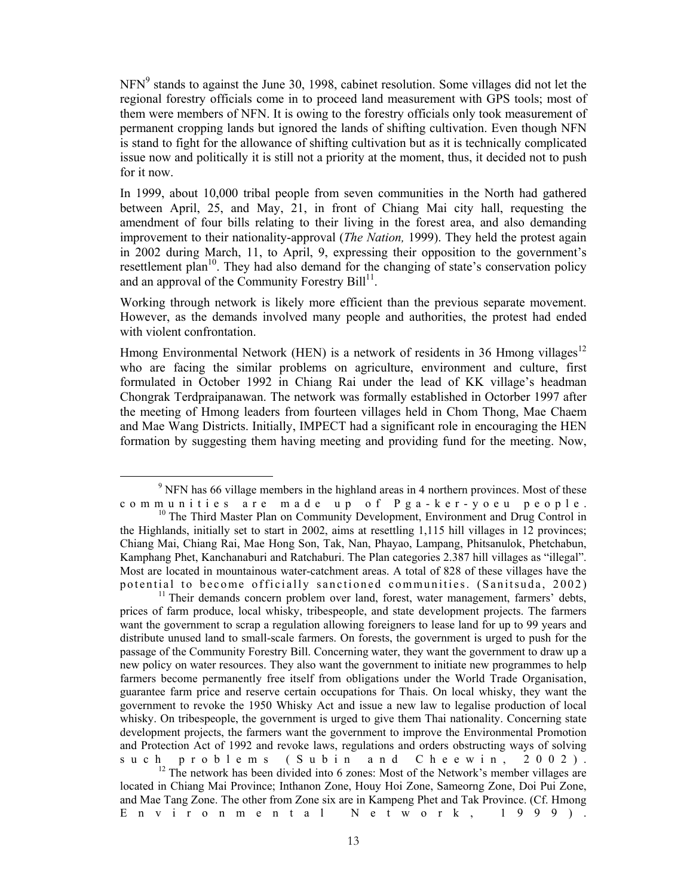NFN<sup>9</sup> stands to against the June 30, 1998, cabinet resolution. Some villages did not let the regional forestry officials come in to proceed land measurement with GPS tools; most of them were members of NFN. It is owing to the forestry officials only took measurement of permanent cropping lands but ignored the lands of shifting cultivation. Even though NFN is stand to fight for the allowance of shifting cultivation but as it is technically complicated issue now and politically it is still not a priority at the moment, thus, it decided not to push for it now.

In 1999, about 10,000 tribal people from seven communities in the North had gathered between April, 25, and May, 21, in front of Chiang Mai city hall, requesting the amendment of four bills relating to their living in the forest area, and also demanding improvement to their nationality-approval (*The Nation,* 1999). They held the protest again in 2002 during March, 11, to April, 9, expressing their opposition to the government's resettlement plan<sup>10</sup>. They had also demand for the changing of state's conservation policy and an approval of the Community Forestry  $Bill<sup>11</sup>$ .

Working through network is likely more efficient than the previous separate movement. However, as the demands involved many people and authorities, the protest had ended with violent confrontation.

Hmong Environmental Network (HEN) is a network of residents in 36 Hmong villages<sup>12</sup> who are facing the similar problems on agriculture, environment and culture, first formulated in October 1992 in Chiang Rai under the lead of KK village's headman Chongrak Terdpraipanawan. The network was formally established in Octorber 1997 after the meeting of Hmong leaders from fourteen villages held in Chom Thong, Mae Chaem and Mae Wang Districts. Initially, IMPECT had a significant role in encouraging the HEN formation by suggesting them having meeting and providing fund for the meeting. Now,

prices of farm produce, local whisky, tribespeople, and state development projects. The farmers want the government to scrap a regulation allowing foreigners to lease land for up to 99 years and distribute unused land to small-scale farmers. On forests, the government is urged to push for the passage of the Community Forestry Bill. Concerning water, they want the government to draw up a new policy on water resources. They also want the government to initiate new programmes to help farmers become permanently free itself from obligations under the World Trade Organisation, guarantee farm price and reserve certain occupations for Thais. On local whisky, they want the government to revoke the 1950 Whisky Act and issue a new law to legalise production of local whisky. On tribespeople, the government is urged to give them Thai nationality. Concerning state development projects, the farmers want the government to improve the Environmental Promotion and Protection Act of 1992 and revoke laws, regulations and orders obstructing ways of solving  $s u c h p r o b l e m s (S u b i n a n d C h e e w i n, 2002)$ . s u c h p r o b l e m s ( S u b i n a n d C h e e w i n , 2 0 0 2 ).<br><sup>12</sup> The network has been divided into 6 zones: Most of the Network's member villages are

located in Chiang Mai Province; Inthanon Zone, Houy Hoi Zone, Sameorng Zone, Doi Pui Zone, and Mae Tang Zone. The other from Zone six are in Kampeng Phet and Tak Province. (Cf. Hmong Environmental Network, 1999).

 $\frac{1}{9}$ <sup>9</sup> NFN has 66 village members in the highland areas in 4 northern provinces. Most of these c o m m u n i t i e s a r e m a d e u p o f P g a - k e r - y o e u p e o p l e .

<sup>&</sup>lt;sup>10</sup> The Third Master Plan on Community Development, Environment and Drug Control in the Highlands, initially set to start in 2002, aims at resettling 1,115 hill villages in 12 provinces; Chiang Mai, Chiang Rai, Mae Hong Son, Tak, Nan, Phayao, Lampang, Phitsanulok, Phetchabun, Kamphang Phet, Kanchanaburi and Ratchaburi. The Plan categories 2.387 hill villages as "illegal". Most are located in mountainous water-catchment areas. A total of 828 of these villages have the potential to become officially sanctioned communities. (Sanitsuda, 2002)<br><sup>11</sup> Their demands concern problem over land, forest, water management, farmers' debts,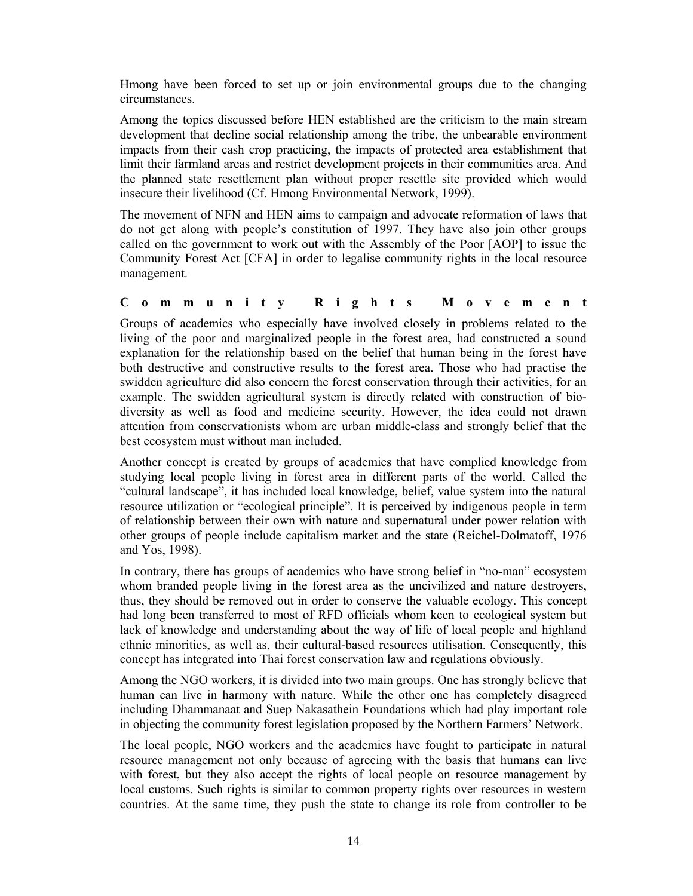Hmong have been forced to set up or join environmental groups due to the changing circumstances.

Among the topics discussed before HEN established are the criticism to the main stream development that decline social relationship among the tribe, the unbearable environment impacts from their cash crop practicing, the impacts of protected area establishment that limit their farmland areas and restrict development projects in their communities area. And the planned state resettlement plan without proper resettle site provided which would insecure their livelihood (Cf. Hmong Environmental Network, 1999).

The movement of NFN and HEN aims to campaign and advocate reformation of laws that do not get along with people's constitution of 1997. They have also join other groups called on the government to work out with the Assembly of the Poor [AOP] to issue the Community Forest Act [CFA] in order to legalise community rights in the local resource management.

# **C o m m u n i t y R i g h t s M o v e m e n t**

Groups of academics who especially have involved closely in problems related to the living of the poor and marginalized people in the forest area, had constructed a sound explanation for the relationship based on the belief that human being in the forest have both destructive and constructive results to the forest area. Those who had practise the swidden agriculture did also concern the forest conservation through their activities, for an example. The swidden agricultural system is directly related with construction of biodiversity as well as food and medicine security. However, the idea could not drawn attention from conservationists whom are urban middle-class and strongly belief that the best ecosystem must without man included.

Another concept is created by groups of academics that have complied knowledge from studying local people living in forest area in different parts of the world. Called the "cultural landscape", it has included local knowledge, belief, value system into the natural resource utilization or "ecological principle". It is perceived by indigenous people in term of relationship between their own with nature and supernatural under power relation with other groups of people include capitalism market and the state (Reichel-Dolmatoff, 1976 and Yos, 1998).

In contrary, there has groups of academics who have strong belief in "no-man" ecosystem whom branded people living in the forest area as the uncivilized and nature destroyers, thus, they should be removed out in order to conserve the valuable ecology. This concept had long been transferred to most of RFD officials whom keen to ecological system but lack of knowledge and understanding about the way of life of local people and highland ethnic minorities, as well as, their cultural-based resources utilisation. Consequently, this concept has integrated into Thai forest conservation law and regulations obviously.

Among the NGO workers, it is divided into two main groups. One has strongly believe that human can live in harmony with nature. While the other one has completely disagreed including Dhammanaat and Suep Nakasathein Foundations which had play important role in objecting the community forest legislation proposed by the Northern Farmers' Network.

The local people, NGO workers and the academics have fought to participate in natural resource management not only because of agreeing with the basis that humans can live with forest, but they also accept the rights of local people on resource management by local customs. Such rights is similar to common property rights over resources in western countries. At the same time, they push the state to change its role from controller to be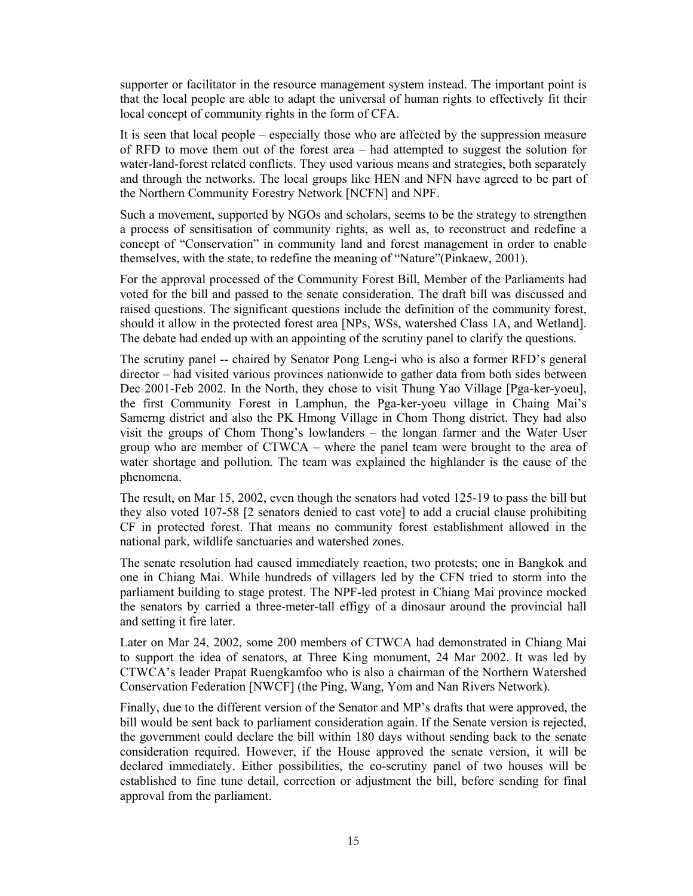supporter or facilitator in the resource management system instead. The important point is that the local people are able to adapt the universal of human rights to effectively fit their local concept of community rights in the form of CFA.

It is seen that local people – especially those who are affected by the suppression measure of RFD to move them out of the forest area – had attempted to suggest the solution for water-land-forest related conflicts. They used various means and strategies, both separately and through the networks. The local groups like HEN and NFN have agreed to be part of the Northern Community Forestry Network [NCFN] and NPF.

Such a movement, supported by NGOs and scholars, seems to be the strategy to strengthen a process of sensitisation of community rights, as well as, to reconstruct and redefine a concept of "Conservation" in community land and forest management in order to enable themselves, with the state, to redefine the meaning of "Nature"(Pinkaew, 2001).

For the approval processed of the Community Forest Bill, Member of the Parliaments had voted for the bill and passed to the senate consideration. The draft bill was discussed and raised questions. The significant questions include the definition of the community forest, should it allow in the protected forest area [NPs, WSs, watershed Class 1A, and Wetland]. The debate had ended up with an appointing of the scrutiny panel to clarify the questions.

The scrutiny panel -- chaired by Senator Pong Leng-i who is also a former RFD's general director – had visited various provinces nationwide to gather data from both sides between Dec 2001-Feb 2002. In the North, they chose to visit Thung Yao Village [Pga-ker-yoeu], the first Community Forest in Lamphun, the Pga-ker-yoeu village in Chaing Mai's Samerng district and also the PK Hmong Village in Chom Thong district. They had also visit the groups of Chom Thong's lowlanders – the longan farmer and the Water User group who are member of CTWCA – where the panel team were brought to the area of water shortage and pollution. The team was explained the highlander is the cause of the phenomena.

The result, on Mar 15, 2002, even though the senators had voted 125-19 to pass the bill but they also voted 107-58 [2 senators denied to cast vote] to add a crucial clause prohibiting CF in protected forest. That means no community forest establishment allowed in the national park, wildlife sanctuaries and watershed zones.

The senate resolution had caused immediately reaction, two protests; one in Bangkok and one in Chiang Mai. While hundreds of villagers led by the CFN tried to storm into the parliament building to stage protest. The NPF-led protest in Chiang Mai province mocked the senators by carried a three-meter-tall effigy of a dinosaur around the provincial hall and setting it fire later.

Later on Mar 24, 2002, some 200 members of CTWCA had demonstrated in Chiang Mai to support the idea of senators, at Three King monument, 24 Mar 2002. It was led by CTWCA's leader Prapat Ruengkamfoo who is also a chairman of the Northern Watershed Conservation Federation [NWCF] (the Ping, Wang, Yom and Nan Rivers Network).

Finally, due to the different version of the Senator and MP's drafts that were approved, the bill would be sent back to parliament consideration again. If the Senate version is rejected, the government could declare the bill within 180 days without sending back to the senate consideration required. However, if the House approved the senate version, it will be declared immediately. Either possibilities, the co-scrutiny panel of two houses will be established to fine tune detail, correction or adjustment the bill, before sending for final approval from the parliament.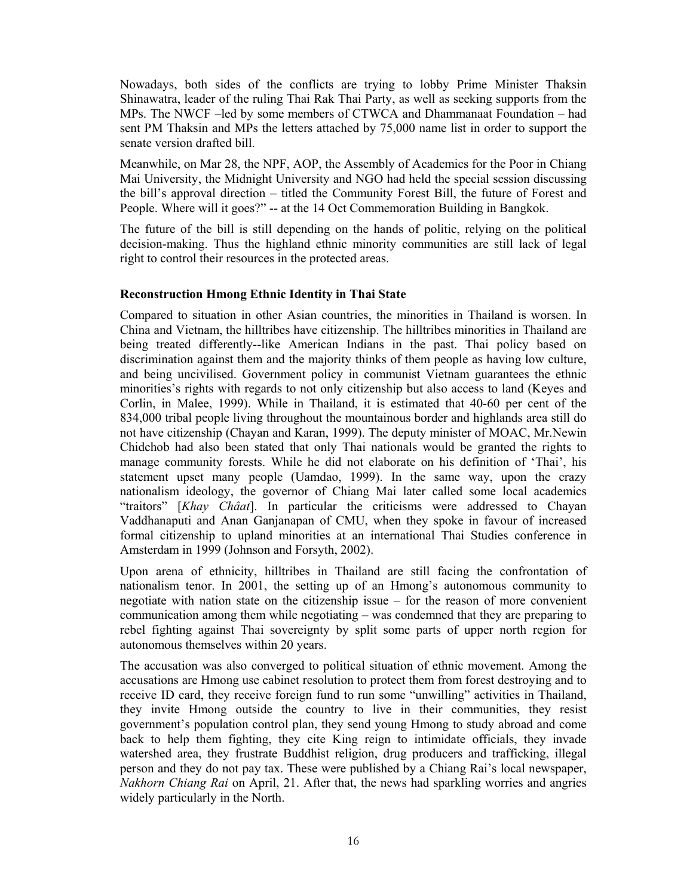Nowadays, both sides of the conflicts are trying to lobby Prime Minister Thaksin Shinawatra, leader of the ruling Thai Rak Thai Party, as well as seeking supports from the MPs. The NWCF –led by some members of CTWCA and Dhammanaat Foundation – had sent PM Thaksin and MPs the letters attached by 75,000 name list in order to support the senate version drafted bill.

Meanwhile, on Mar 28, the NPF, AOP, the Assembly of Academics for the Poor in Chiang Mai University, the Midnight University and NGO had held the special session discussing the bill's approval direction – titled the Community Forest Bill, the future of Forest and People. Where will it goes?" -- at the 14 Oct Commemoration Building in Bangkok.

The future of the bill is still depending on the hands of politic, relying on the political decision-making. Thus the highland ethnic minority communities are still lack of legal right to control their resources in the protected areas.

# **Reconstruction Hmong Ethnic Identity in Thai State**

Compared to situation in other Asian countries, the minorities in Thailand is worsen. In China and Vietnam, the hilltribes have citizenship. The hilltribes minorities in Thailand are being treated differently--like American Indians in the past. Thai policy based on discrimination against them and the majority thinks of them people as having low culture, and being uncivilised. Government policy in communist Vietnam guarantees the ethnic minorities's rights with regards to not only citizenship but also access to land (Keyes and Corlin, in Malee, 1999). While in Thailand, it is estimated that 40-60 per cent of the 834,000 tribal people living throughout the mountainous border and highlands area still do not have citizenship (Chayan and Karan, 1999). The deputy minister of MOAC, Mr.Newin Chidchob had also been stated that only Thai nationals would be granted the rights to manage community forests. While he did not elaborate on his definition of 'Thai', his statement upset many people (Uamdao, 1999). In the same way, upon the crazy nationalism ideology, the governor of Chiang Mai later called some local academics "traitors" [*Khay Châat*]. In particular the criticisms were addressed to Chayan Vaddhanaputi and Anan Ganjanapan of CMU, when they spoke in favour of increased formal citizenship to upland minorities at an international Thai Studies conference in Amsterdam in 1999 (Johnson and Forsyth, 2002).

Upon arena of ethnicity, hilltribes in Thailand are still facing the confrontation of nationalism tenor. In 2001, the setting up of an Hmong's autonomous community to negotiate with nation state on the citizenship issue – for the reason of more convenient communication among them while negotiating – was condemned that they are preparing to rebel fighting against Thai sovereignty by split some parts of upper north region for autonomous themselves within 20 years.

The accusation was also converged to political situation of ethnic movement. Among the accusations are Hmong use cabinet resolution to protect them from forest destroying and to receive ID card, they receive foreign fund to run some "unwilling" activities in Thailand, they invite Hmong outside the country to live in their communities, they resist government's population control plan, they send young Hmong to study abroad and come back to help them fighting, they cite King reign to intimidate officials, they invade watershed area, they frustrate Buddhist religion, drug producers and trafficking, illegal person and they do not pay tax. These were published by a Chiang Rai's local newspaper, *Nakhorn Chiang Rai* on April, 21. After that, the news had sparkling worries and angries widely particularly in the North.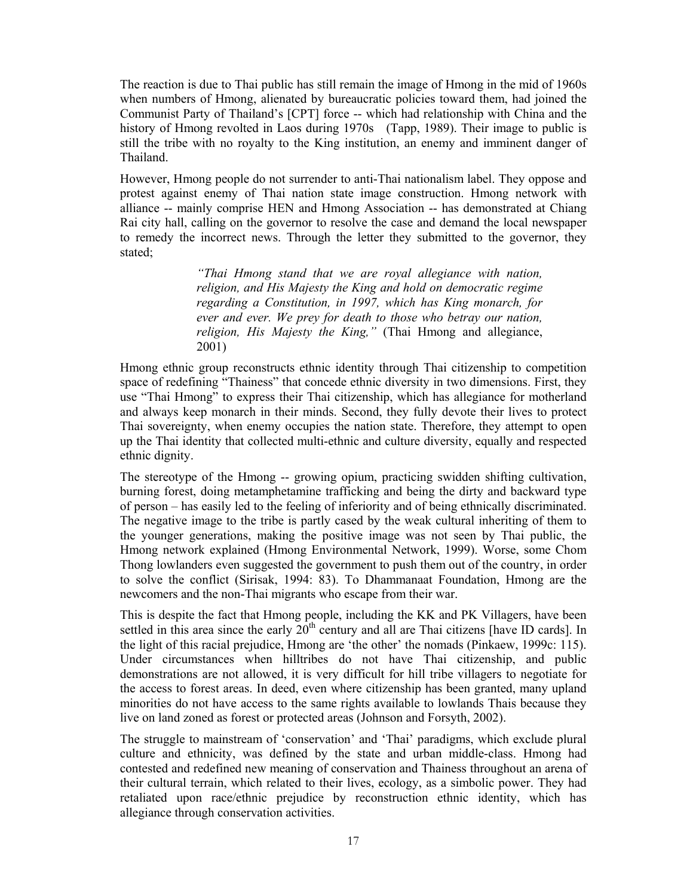The reaction is due to Thai public has still remain the image of Hmong in the mid of 1960s when numbers of Hmong, alienated by bureaucratic policies toward them, had joined the Communist Party of Thailand's [CPT] force -- which had relationship with China and the history of Hmong revolted in Laos during 1970s (Tapp, 1989). Their image to public is still the tribe with no royalty to the King institution, an enemy and imminent danger of Thailand.

However, Hmong people do not surrender to anti-Thai nationalism label. They oppose and protest against enemy of Thai nation state image construction. Hmong network with alliance -- mainly comprise HEN and Hmong Association -- has demonstrated at Chiang Rai city hall, calling on the governor to resolve the case and demand the local newspaper to remedy the incorrect news. Through the letter they submitted to the governor, they stated;

> *"Thai Hmong stand that we are royal allegiance with nation, religion, and His Majesty the King and hold on democratic regime regarding a Constitution, in 1997, which has King monarch, for ever and ever. We prey for death to those who betray our nation, religion, His Majesty the King,"* (Thai Hmong and allegiance, 2001)

Hmong ethnic group reconstructs ethnic identity through Thai citizenship to competition space of redefining "Thainess" that concede ethnic diversity in two dimensions. First, they use "Thai Hmong" to express their Thai citizenship, which has allegiance for motherland and always keep monarch in their minds. Second, they fully devote their lives to protect Thai sovereignty, when enemy occupies the nation state. Therefore, they attempt to open up the Thai identity that collected multi-ethnic and culture diversity, equally and respected ethnic dignity.

The stereotype of the Hmong -- growing opium, practicing swidden shifting cultivation, burning forest, doing metamphetamine trafficking and being the dirty and backward type of person – has easily led to the feeling of inferiority and of being ethnically discriminated. The negative image to the tribe is partly cased by the weak cultural inheriting of them to the younger generations, making the positive image was not seen by Thai public, the Hmong network explained (Hmong Environmental Network, 1999). Worse, some Chom Thong lowlanders even suggested the government to push them out of the country, in order to solve the conflict (Sirisak, 1994: 83). To Dhammanaat Foundation, Hmong are the newcomers and the non-Thai migrants who escape from their war.

This is despite the fact that Hmong people, including the KK and PK Villagers, have been settled in this area since the early  $20<sup>th</sup>$  century and all are Thai citizens [have ID cards]. In the light of this racial prejudice, Hmong are 'the other' the nomads (Pinkaew, 1999c: 115). Under circumstances when hilltribes do not have Thai citizenship, and public demonstrations are not allowed, it is very difficult for hill tribe villagers to negotiate for the access to forest areas. In deed, even where citizenship has been granted, many upland minorities do not have access to the same rights available to lowlands Thais because they live on land zoned as forest or protected areas (Johnson and Forsyth, 2002).

The struggle to mainstream of 'conservation' and 'Thai' paradigms, which exclude plural culture and ethnicity, was defined by the state and urban middle-class. Hmong had contested and redefined new meaning of conservation and Thainess throughout an arena of their cultural terrain, which related to their lives, ecology, as a simbolic power. They had retaliated upon race/ethnic prejudice by reconstruction ethnic identity, which has allegiance through conservation activities.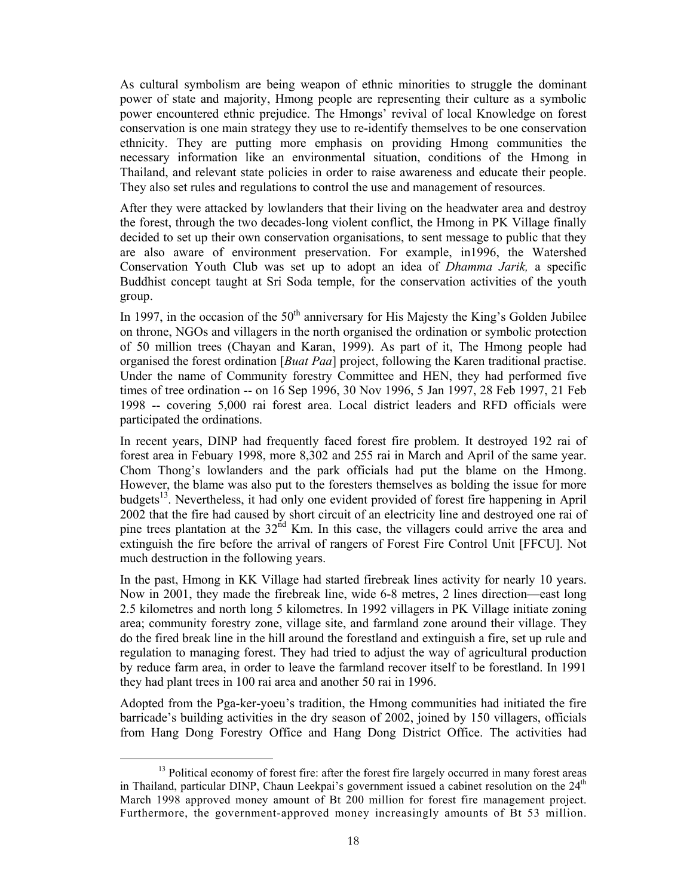As cultural symbolism are being weapon of ethnic minorities to struggle the dominant power of state and majority, Hmong people are representing their culture as a symbolic power encountered ethnic prejudice. The Hmongs' revival of local Knowledge on forest conservation is one main strategy they use to re-identify themselves to be one conservation ethnicity. They are putting more emphasis on providing Hmong communities the necessary information like an environmental situation, conditions of the Hmong in Thailand, and relevant state policies in order to raise awareness and educate their people. They also set rules and regulations to control the use and management of resources.

After they were attacked by lowlanders that their living on the headwater area and destroy the forest, through the two decades-long violent conflict, the Hmong in PK Village finally decided to set up their own conservation organisations, to sent message to public that they are also aware of environment preservation. For example, in1996, the Watershed Conservation Youth Club was set up to adopt an idea of *Dhamma Jarik,* a specific Buddhist concept taught at Sri Soda temple, for the conservation activities of the youth group.

In 1997, in the occasion of the  $50<sup>th</sup>$  anniversary for His Majesty the King's Golden Jubilee on throne, NGOs and villagers in the north organised the ordination or symbolic protection of 50 million trees (Chayan and Karan, 1999). As part of it, The Hmong people had organised the forest ordination [*Buat Paa*] project, following the Karen traditional practise. Under the name of Community forestry Committee and HEN, they had performed five times of tree ordination -- on 16 Sep 1996, 30 Nov 1996, 5 Jan 1997, 28 Feb 1997, 21 Feb 1998 -- covering 5,000 rai forest area. Local district leaders and RFD officials were participated the ordinations.

In recent years, DINP had frequently faced forest fire problem. It destroyed 192 rai of forest area in Febuary 1998, more 8,302 and 255 rai in March and April of the same year. Chom Thong's lowlanders and the park officials had put the blame on the Hmong. However, the blame was also put to the foresters themselves as bolding the issue for more budgets<sup>13</sup>. Nevertheless, it had only one evident provided of forest fire happening in April 2002 that the fire had caused by short circuit of an electricity line and destroyed one rai of pine trees plantation at the  $32<sup>nd</sup>$  Km. In this case, the villagers could arrive the area and extinguish the fire before the arrival of rangers of Forest Fire Control Unit [FFCU]. Not much destruction in the following years.

In the past, Hmong in KK Village had started firebreak lines activity for nearly 10 years. Now in 2001, they made the firebreak line, wide 6-8 metres, 2 lines direction—east long 2.5 kilometres and north long 5 kilometres. In 1992 villagers in PK Village initiate zoning area; community forestry zone, village site, and farmland zone around their village. They do the fired break line in the hill around the forestland and extinguish a fire, set up rule and regulation to managing forest. They had tried to adjust the way of agricultural production by reduce farm area, in order to leave the farmland recover itself to be forestland. In 1991 they had plant trees in 100 rai area and another 50 rai in 1996.

Adopted from the Pga-ker-yoeu's tradition, the Hmong communities had initiated the fire barricade's building activities in the dry season of 2002, joined by 150 villagers, officials from Hang Dong Forestry Office and Hang Dong District Office. The activities had

<sup>&</sup>lt;sup>13</sup> Political economy of forest fire: after the forest fire largely occurred in many forest areas in Thailand, particular DINP, Chaun Leekpai's government issued a cabinet resolution on the  $24<sup>th</sup>$ March 1998 approved money amount of Bt 200 million for forest fire management project. Furthermore, the government-approved money increasingly amounts of Bt 53 million.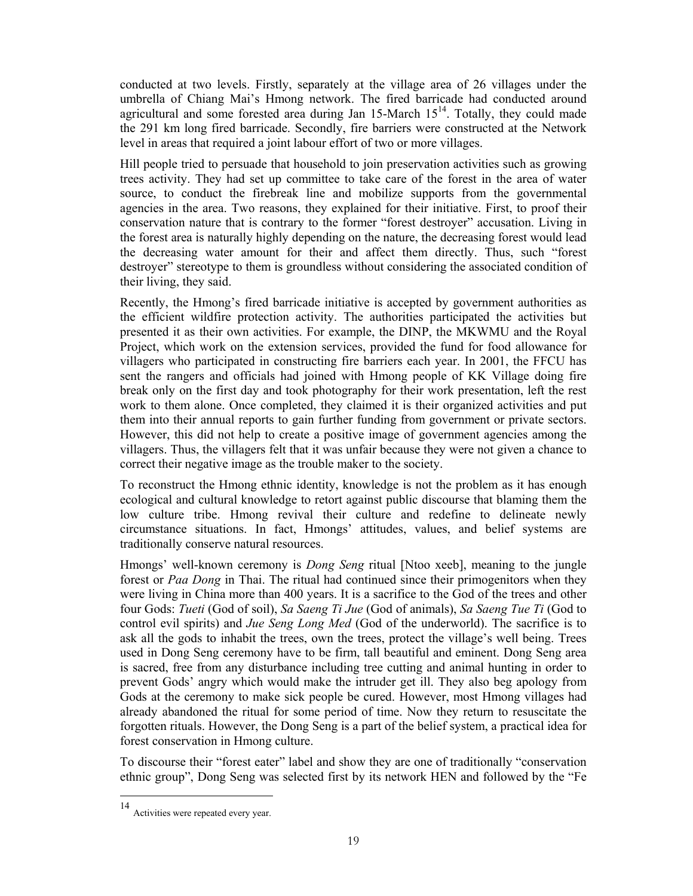conducted at two levels. Firstly, separately at the village area of 26 villages under the umbrella of Chiang Mai's Hmong network. The fired barricade had conducted around agricultural and some forested area during Jan  $15$ -March  $15<sup>14</sup>$ . Totally, they could made the 291 km long fired barricade. Secondly, fire barriers were constructed at the Network level in areas that required a joint labour effort of two or more villages.

Hill people tried to persuade that household to join preservation activities such as growing trees activity. They had set up committee to take care of the forest in the area of water source, to conduct the firebreak line and mobilize supports from the governmental agencies in the area. Two reasons, they explained for their initiative. First, to proof their conservation nature that is contrary to the former "forest destroyer" accusation. Living in the forest area is naturally highly depending on the nature, the decreasing forest would lead the decreasing water amount for their and affect them directly. Thus, such "forest destroyer" stereotype to them is groundless without considering the associated condition of their living, they said.

Recently, the Hmong's fired barricade initiative is accepted by government authorities as the efficient wildfire protection activity. The authorities participated the activities but presented it as their own activities. For example, the DINP, the MKWMU and the Royal Project, which work on the extension services, provided the fund for food allowance for villagers who participated in constructing fire barriers each year. In 2001, the FFCU has sent the rangers and officials had joined with Hmong people of KK Village doing fire break only on the first day and took photography for their work presentation, left the rest work to them alone. Once completed, they claimed it is their organized activities and put them into their annual reports to gain further funding from government or private sectors. However, this did not help to create a positive image of government agencies among the villagers. Thus, the villagers felt that it was unfair because they were not given a chance to correct their negative image as the trouble maker to the society.

To reconstruct the Hmong ethnic identity, knowledge is not the problem as it has enough ecological and cultural knowledge to retort against public discourse that blaming them the low culture tribe. Hmong revival their culture and redefine to delineate newly circumstance situations. In fact, Hmongs' attitudes, values, and belief systems are traditionally conserve natural resources.

Hmongs' well-known ceremony is *Dong Seng* ritual [Ntoo xeeb], meaning to the jungle forest or *Paa Dong* in Thai. The ritual had continued since their primogenitors when they were living in China more than 400 years. It is a sacrifice to the God of the trees and other four Gods: *Tueti* (God of soil), *Sa Saeng Ti Jue* (God of animals), *Sa Saeng Tue Ti* (God to control evil spirits) and *Jue Seng Long Med* (God of the underworld). The sacrifice is to ask all the gods to inhabit the trees, own the trees, protect the village's well being. Trees used in Dong Seng ceremony have to be firm, tall beautiful and eminent. Dong Seng area is sacred, free from any disturbance including tree cutting and animal hunting in order to prevent Gods' angry which would make the intruder get ill. They also beg apology from Gods at the ceremony to make sick people be cured. However, most Hmong villages had already abandoned the ritual for some period of time. Now they return to resuscitate the forgotten rituals. However, the Dong Seng is a part of the belief system, a practical idea for forest conservation in Hmong culture.

To discourse their "forest eater" label and show they are one of traditionally "conservation ethnic group", Dong Seng was selected first by its network HEN and followed by the "Fe

<sup>14</sup> Activities were repeated every year.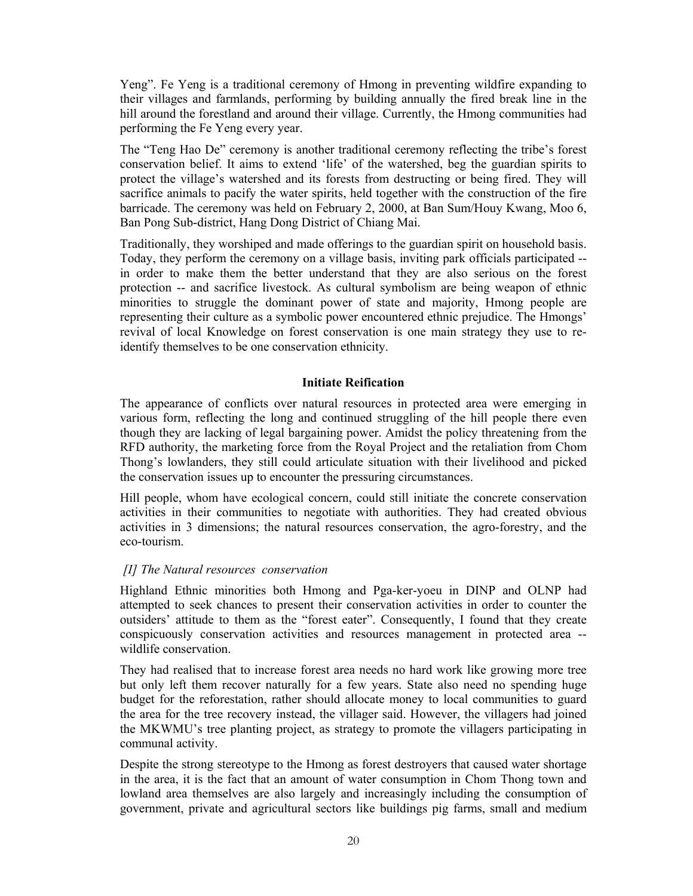Yeng". Fe Yeng is a traditional ceremony of Hmong in preventing wildfire expanding to their villages and farmlands, performing by building annually the fired break line in the hill around the forestland and around their village. Currently, the Hmong communities had performing the Fe Yeng every year.

The "Teng Hao De" ceremony is another traditional ceremony reflecting the tribe's forest conservation belief. It aims to extend 'life' of the watershed, beg the guardian spirits to protect the village's watershed and its forests from destructing or being fired. They will sacrifice animals to pacify the water spirits, held together with the construction of the fire barricade. The ceremony was held on February 2, 2000, at Ban Sum/Houy Kwang, Moo 6, Ban Pong Sub-district, Hang Dong District of Chiang Mai.

Traditionally, they worshiped and made offerings to the guardian spirit on household basis. Today, they perform the ceremony on a village basis, inviting park officials participated - in order to make them the better understand that they are also serious on the forest protection -- and sacrifice livestock. As cultural symbolism are being weapon of ethnic minorities to struggle the dominant power of state and majority, Hmong people are representing their culture as a symbolic power encountered ethnic prejudice. The Hmongs' revival of local Knowledge on forest conservation is one main strategy they use to reidentify themselves to be one conservation ethnicity.

#### **Initiate Reification**

The appearance of conflicts over natural resources in protected area were emerging in various form, reflecting the long and continued struggling of the hill people there even though they are lacking of legal bargaining power. Amidst the policy threatening from the RFD authority, the marketing force from the Royal Project and the retaliation from Chom Thong's lowlanders, they still could articulate situation with their livelihood and picked the conservation issues up to encounter the pressuring circumstances.

Hill people, whom have ecological concern, could still initiate the concrete conservation activities in their communities to negotiate with authorities. They had created obvious activities in 3 dimensions; the natural resources conservation, the agro-forestry, and the eco-tourism.

### *[I] The Natural resources conservation*

Highland Ethnic minorities both Hmong and Pga-ker-yoeu in DINP and OLNP had attempted to seek chances to present their conservation activities in order to counter the outsiders' attitude to them as the "forest eater". Consequently, I found that they create conspicuously conservation activities and resources management in protected area - wildlife conservation.

They had realised that to increase forest area needs no hard work like growing more tree but only left them recover naturally for a few years. State also need no spending huge budget for the reforestation, rather should allocate money to local communities to guard the area for the tree recovery instead, the villager said. However, the villagers had joined the MKWMU's tree planting project, as strategy to promote the villagers participating in communal activity.

Despite the strong stereotype to the Hmong as forest destroyers that caused water shortage in the area, it is the fact that an amount of water consumption in Chom Thong town and lowland area themselves are also largely and increasingly including the consumption of government, private and agricultural sectors like buildings pig farms, small and medium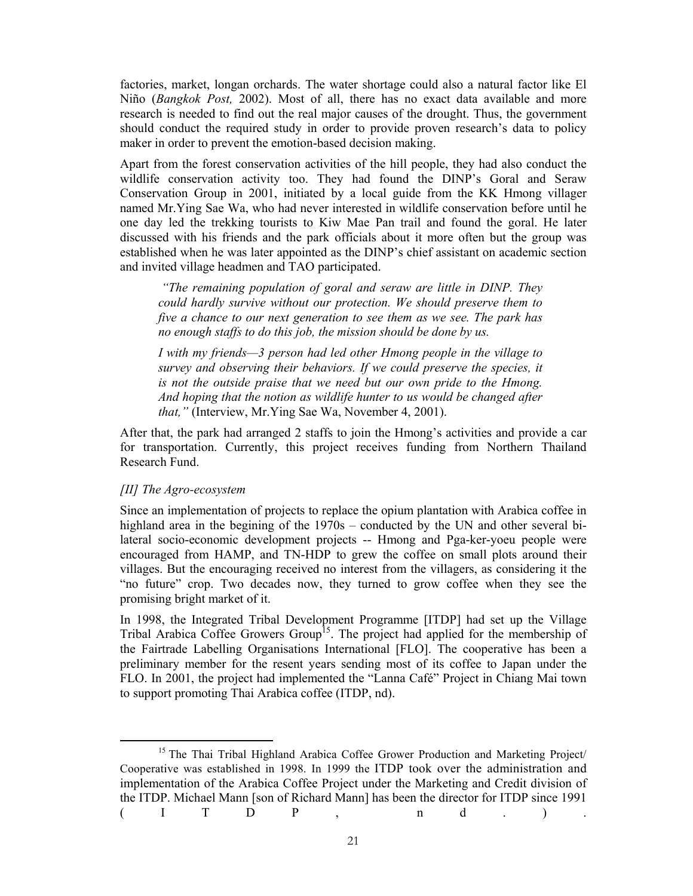factories, market, longan orchards. The water shortage could also a natural factor like El Niño (*Bangkok Post,* 2002). Most of all, there has no exact data available and more research is needed to find out the real major causes of the drought. Thus, the government should conduct the required study in order to provide proven research's data to policy maker in order to prevent the emotion-based decision making.

Apart from the forest conservation activities of the hill people, they had also conduct the wildlife conservation activity too. They had found the DINP's Goral and Seraw Conservation Group in 2001, initiated by a local guide from the KK Hmong villager named Mr.Ying Sae Wa, who had never interested in wildlife conservation before until he one day led the trekking tourists to Kiw Mae Pan trail and found the goral. He later discussed with his friends and the park officials about it more often but the group was established when he was later appointed as the DINP's chief assistant on academic section and invited village headmen and TAO participated.

 *"The remaining population of goral and seraw are little in DINP. They could hardly survive without our protection. We should preserve them to five a chance to our next generation to see them as we see. The park has no enough staffs to do this job, the mission should be done by us.* 

*I with my friends—3 person had led other Hmong people in the village to survey and observing their behaviors. If we could preserve the species, it is not the outside praise that we need but our own pride to the Hmong. And hoping that the notion as wildlife hunter to us would be changed after that,"* (Interview, Mr.Ying Sae Wa, November 4, 2001).

After that, the park had arranged 2 staffs to join the Hmong's activities and provide a car for transportation. Currently, this project receives funding from Northern Thailand Research Fund.

#### *[II] The Agro-ecosystem*

Since an implementation of projects to replace the opium plantation with Arabica coffee in highland area in the begining of the 1970s – conducted by the UN and other several bilateral socio-economic development projects -- Hmong and Pga-ker-yoeu people were encouraged from HAMP, and TN-HDP to grew the coffee on small plots around their villages. But the encouraging received no interest from the villagers, as considering it the "no future" crop. Two decades now, they turned to grow coffee when they see the promising bright market of it.

In 1998, the Integrated Tribal Development Programme [ITDP] had set up the Village Tribal Arabica Coffee Growers Group<sup>15</sup>. The project had applied for the membership of the Fairtrade Labelling Organisations International [FLO]. The cooperative has been a preliminary member for the resent years sending most of its coffee to Japan under the FLO. In 2001, the project had implemented the "Lanna Café" Project in Chiang Mai town to support promoting Thai Arabica coffee (ITDP, nd).

<sup>&</sup>lt;sup>15</sup> The Thai Tribal Highland Arabica Coffee Grower Production and Marketing Project/ Cooperative was established in 1998. In 1999 the ITDP took over the administration and implementation of the Arabica Coffee Project under the Marketing and Credit division of the ITDP. Michael Mann [son of Richard Mann] has been the director for ITDP since 1991 (ITDP, nd.).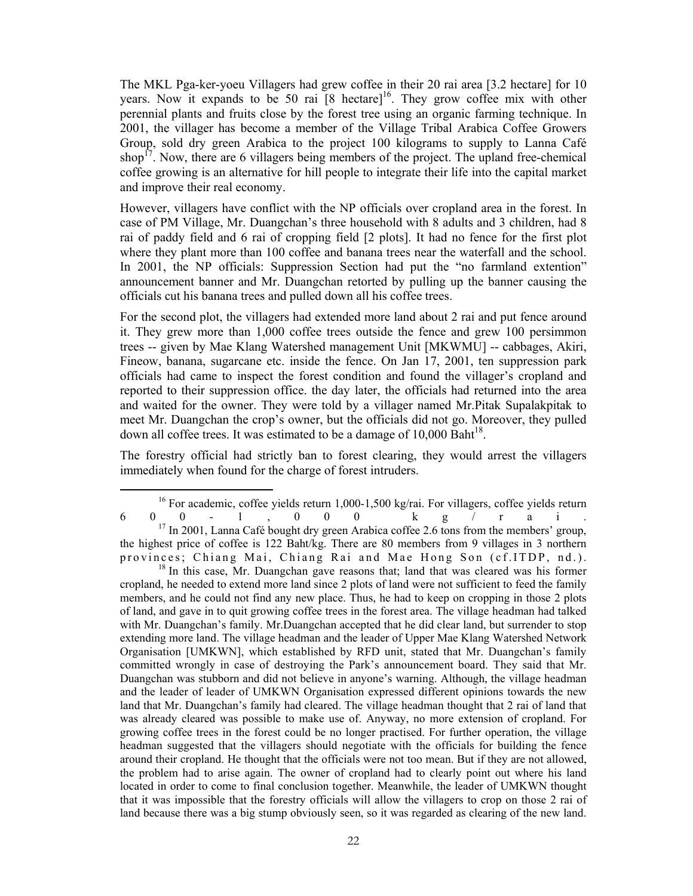The MKL Pga-ker-yoeu Villagers had grew coffee in their 20 rai area [3.2 hectare] for 10 years. Now it expands to be 50 rai  $[8 \text{ hectare}]^{16}$ . They grow coffee mix with other perennial plants and fruits close by the forest tree using an organic farming technique. In 2001, the villager has become a member of the Village Tribal Arabica Coffee Growers Group, sold dry green Arabica to the project 100 kilograms to supply to Lanna Café shop<sup>17</sup>. Now, there are 6 villagers being members of the project. The upland free-chemical coffee growing is an alternative for hill people to integrate their life into the capital market and improve their real economy.

However, villagers have conflict with the NP officials over cropland area in the forest. In case of PM Village, Mr. Duangchan's three household with 8 adults and 3 children, had 8 rai of paddy field and 6 rai of cropping field [2 plots]. It had no fence for the first plot where they plant more than 100 coffee and banana trees near the waterfall and the school. In 2001, the NP officials: Suppression Section had put the "no farmland extention" announcement banner and Mr. Duangchan retorted by pulling up the banner causing the officials cut his banana trees and pulled down all his coffee trees.

For the second plot, the villagers had extended more land about 2 rai and put fence around it. They grew more than 1,000 coffee trees outside the fence and grew 100 persimmon trees -- given by Mae Klang Watershed management Unit [MKWMU] -- cabbages, Akiri, Fineow, banana, sugarcane etc. inside the fence. On Jan 17, 2001, ten suppression park officials had came to inspect the forest condition and found the villager's cropland and reported to their suppression office. the day later, the officials had returned into the area and waited for the owner. They were told by a villager named Mr.Pitak Supalakpitak to meet Mr. Duangchan the crop's owner, but the officials did not go. Moreover, they pulled down all coffee trees. It was estimated to be a damage of  $10,000$  Baht<sup>18</sup>.

The forestry official had strictly ban to forest clearing, they would arrest the villagers immediately when found for the charge of forest intruders.

<sup>16</sup> For academic, coffee yields return 1,000-1,500 kg/rai. For villagers, coffee yields return 6 0 0 - 1 , 0 0 0 k g / r a i . <sup>17</sup> In 2001, Lanna Café bought dry green Arabica coffee 2.6 tons from the members' group, the highest price of coffee is 122 Baht/kg. There are 80 members from 9 villages in 3 northern

provinces; Chiang Mai, Chiang Rai and Mae Hong Son (cf. ITDP, nd.). <sup>18</sup> In this case, Mr. Duangchan gave reasons that; land that was cleared was his former

cropland, he needed to extend more land since 2 plots of land were not sufficient to feed the family members, and he could not find any new place. Thus, he had to keep on cropping in those 2 plots of land, and gave in to quit growing coffee trees in the forest area. The village headman had talked with Mr. Duangchan's family. Mr.Duangchan accepted that he did clear land, but surrender to stop extending more land. The village headman and the leader of Upper Mae Klang Watershed Network Organisation [UMKWN], which established by RFD unit, stated that Mr. Duangchan's family committed wrongly in case of destroying the Park's announcement board. They said that Mr. Duangchan was stubborn and did not believe in anyone's warning. Although, the village headman and the leader of leader of UMKWN Organisation expressed different opinions towards the new land that Mr. Duangchan's family had cleared. The village headman thought that 2 rai of land that was already cleared was possible to make use of. Anyway, no more extension of cropland. For growing coffee trees in the forest could be no longer practised. For further operation, the village headman suggested that the villagers should negotiate with the officials for building the fence around their cropland. He thought that the officials were not too mean. But if they are not allowed, the problem had to arise again. The owner of cropland had to clearly point out where his land located in order to come to final conclusion together. Meanwhile, the leader of UMKWN thought that it was impossible that the forestry officials will allow the villagers to crop on those 2 rai of land because there was a big stump obviously seen, so it was regarded as clearing of the new land.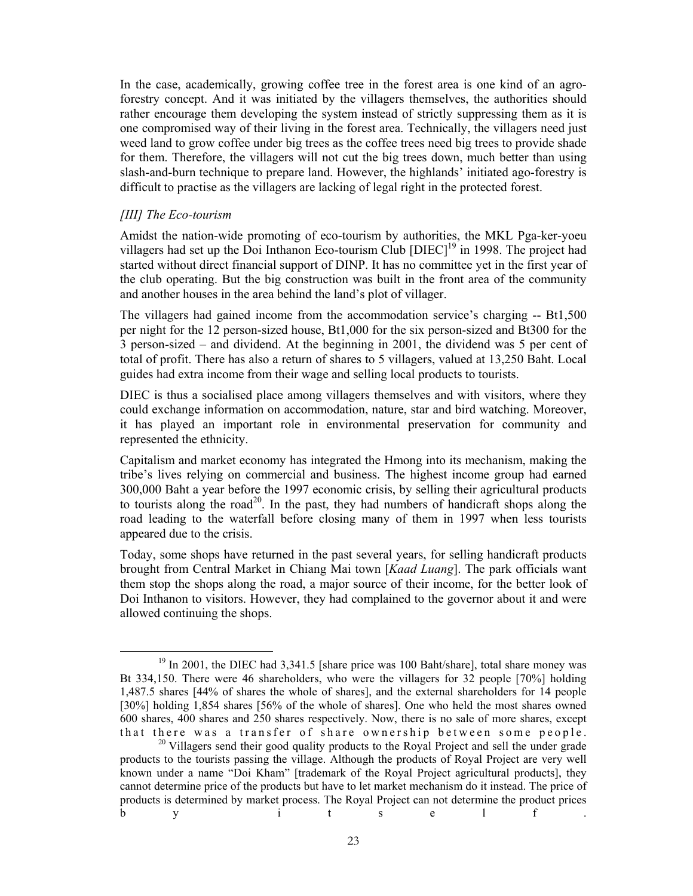In the case, academically, growing coffee tree in the forest area is one kind of an agroforestry concept. And it was initiated by the villagers themselves, the authorities should rather encourage them developing the system instead of strictly suppressing them as it is one compromised way of their living in the forest area. Technically, the villagers need just weed land to grow coffee under big trees as the coffee trees need big trees to provide shade for them. Therefore, the villagers will not cut the big trees down, much better than using slash-and-burn technique to prepare land. However, the highlands' initiated ago-forestry is difficult to practise as the villagers are lacking of legal right in the protected forest.

### *[III] The Eco-tourism*

Amidst the nation-wide promoting of eco-tourism by authorities, the MKL Pga-ker-yoeu villagers had set up the Doi Inthanon Eco-tourism Club  $[DIEC]$ <sup>19</sup> in 1998. The project had started without direct financial support of DINP. It has no committee yet in the first year of the club operating. But the big construction was built in the front area of the community and another houses in the area behind the land's plot of villager.

The villagers had gained income from the accommodation service's charging -- Bt1,500 per night for the 12 person-sized house, Bt1,000 for the six person-sized and Bt300 for the 3 person-sized – and dividend. At the beginning in 2001, the dividend was 5 per cent of total of profit. There has also a return of shares to 5 villagers, valued at 13,250 Baht. Local guides had extra income from their wage and selling local products to tourists.

DIEC is thus a socialised place among villagers themselves and with visitors, where they could exchange information on accommodation, nature, star and bird watching. Moreover, it has played an important role in environmental preservation for community and represented the ethnicity.

Capitalism and market economy has integrated the Hmong into its mechanism, making the tribe's lives relying on commercial and business. The highest income group had earned 300,000 Baht a year before the 1997 economic crisis, by selling their agricultural products to tourists along the road<sup>20</sup>. In the past, they had numbers of handicraft shops along the road leading to the waterfall before closing many of them in 1997 when less tourists appeared due to the crisis.

Today, some shops have returned in the past several years, for selling handicraft products brought from Central Market in Chiang Mai town [*Kaad Luang*]. The park officials want them stop the shops along the road, a major source of their income, for the better look of Doi Inthanon to visitors. However, they had complained to the governor about it and were allowed continuing the shops.

 $19$  In 2001, the DIEC had 3,341.5 [share price was 100 Baht/share], total share money was Bt 334,150. There were 46 shareholders, who were the villagers for 32 people [70%] holding 1,487.5 shares [44% of shares the whole of shares], and the external shareholders for 14 people [30%] holding 1,854 shares [56% of the whole of shares]. One who held the most shares owned 600 shares, 400 shares and 250 shares respectively. Now, there is no sale of more shares, except that there was a transfer of share ownership between some people.

<sup>&</sup>lt;sup>20</sup> Villagers send their good quality products to the Royal Project and sell the under grade products to the tourists passing the village. Although the products of Royal Project are very well known under a name "Doi Kham" [trademark of the Royal Project agricultural products], they cannot determine price of the products but have to let market mechanism do it instead. The price of products is determined by market process. The Royal Project can not determine the product prices b y it self f.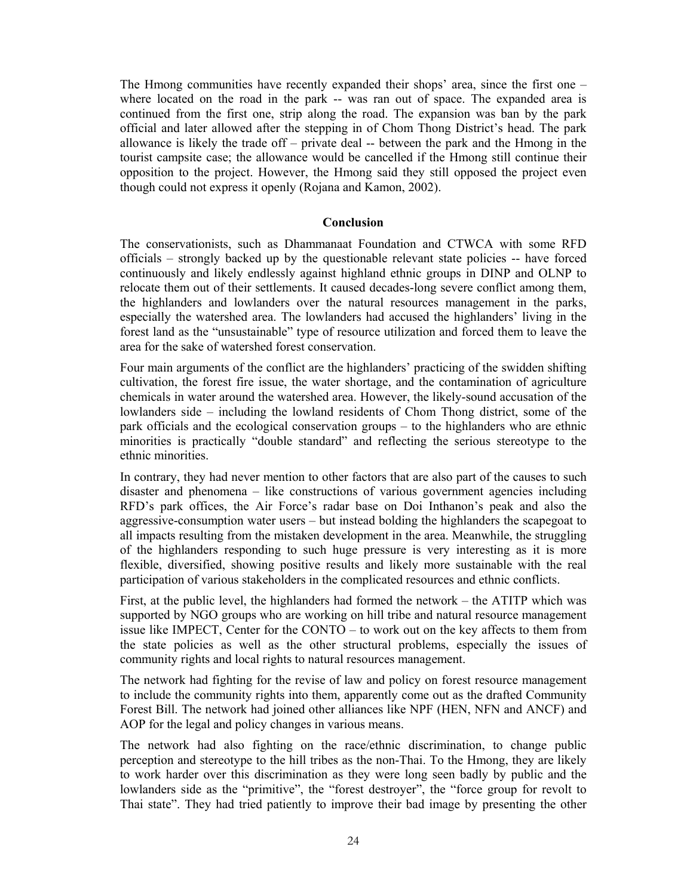The Hmong communities have recently expanded their shops' area, since the first one – where located on the road in the park -- was ran out of space. The expanded area is continued from the first one, strip along the road. The expansion was ban by the park official and later allowed after the stepping in of Chom Thong District's head. The park allowance is likely the trade off – private deal -- between the park and the Hmong in the tourist campsite case; the allowance would be cancelled if the Hmong still continue their opposition to the project. However, the Hmong said they still opposed the project even though could not express it openly (Rojana and Kamon, 2002).

#### **Conclusion**

The conservationists, such as Dhammanaat Foundation and CTWCA with some RFD officials – strongly backed up by the questionable relevant state policies -- have forced continuously and likely endlessly against highland ethnic groups in DINP and OLNP to relocate them out of their settlements. It caused decades-long severe conflict among them, the highlanders and lowlanders over the natural resources management in the parks, especially the watershed area. The lowlanders had accused the highlanders' living in the forest land as the "unsustainable" type of resource utilization and forced them to leave the area for the sake of watershed forest conservation.

Four main arguments of the conflict are the highlanders' practicing of the swidden shifting cultivation, the forest fire issue, the water shortage, and the contamination of agriculture chemicals in water around the watershed area. However, the likely-sound accusation of the lowlanders side – including the lowland residents of Chom Thong district, some of the park officials and the ecological conservation groups – to the highlanders who are ethnic minorities is practically "double standard" and reflecting the serious stereotype to the ethnic minorities.

In contrary, they had never mention to other factors that are also part of the causes to such disaster and phenomena – like constructions of various government agencies including RFD's park offices, the Air Force's radar base on Doi Inthanon's peak and also the aggressive-consumption water users – but instead bolding the highlanders the scapegoat to all impacts resulting from the mistaken development in the area. Meanwhile, the struggling of the highlanders responding to such huge pressure is very interesting as it is more flexible, diversified, showing positive results and likely more sustainable with the real participation of various stakeholders in the complicated resources and ethnic conflicts.

First, at the public level, the highlanders had formed the network – the ATITP which was supported by NGO groups who are working on hill tribe and natural resource management issue like IMPECT, Center for the CONTO – to work out on the key affects to them from the state policies as well as the other structural problems, especially the issues of community rights and local rights to natural resources management.

The network had fighting for the revise of law and policy on forest resource management to include the community rights into them, apparently come out as the drafted Community Forest Bill. The network had joined other alliances like NPF (HEN, NFN and ANCF) and AOP for the legal and policy changes in various means.

The network had also fighting on the race/ethnic discrimination, to change public perception and stereotype to the hill tribes as the non-Thai. To the Hmong, they are likely to work harder over this discrimination as they were long seen badly by public and the lowlanders side as the "primitive", the "forest destroyer", the "force group for revolt to Thai state". They had tried patiently to improve their bad image by presenting the other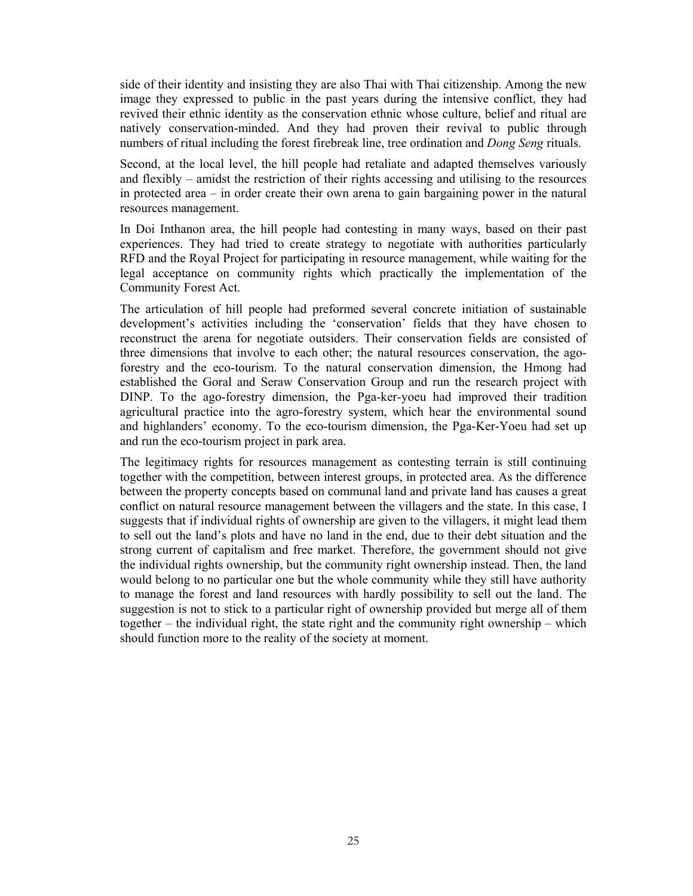side of their identity and insisting they are also Thai with Thai citizenship. Among the new image they expressed to public in the past years during the intensive conflict, they had revived their ethnic identity as the conservation ethnic whose culture, belief and ritual are natively conservation-minded. And they had proven their revival to public through numbers of ritual including the forest firebreak line, tree ordination and *Dong Seng* rituals.

Second, at the local level, the hill people had retaliate and adapted themselves variously and flexibly – amidst the restriction of their rights accessing and utilising to the resources in protected area – in order create their own arena to gain bargaining power in the natural resources management.

In Doi Inthanon area, the hill people had contesting in many ways, based on their past experiences. They had tried to create strategy to negotiate with authorities particularly RFD and the Royal Project for participating in resource management, while waiting for the legal acceptance on community rights which practically the implementation of the Community Forest Act.

The articulation of hill people had preformed several concrete initiation of sustainable development's activities including the 'conservation' fields that they have chosen to reconstruct the arena for negotiate outsiders. Their conservation fields are consisted of three dimensions that involve to each other; the natural resources conservation, the agoforestry and the eco-tourism. To the natural conservation dimension, the Hmong had established the Goral and Seraw Conservation Group and run the research project with DINP. To the ago-forestry dimension, the Pga-ker-yoeu had improved their tradition agricultural practice into the agro-forestry system, which hear the environmental sound and highlanders' economy. To the eco-tourism dimension, the Pga-Ker-Yoeu had set up and run the eco-tourism project in park area.

The legitimacy rights for resources management as contesting terrain is still continuing together with the competition, between interest groups, in protected area. As the difference between the property concepts based on communal land and private land has causes a great conflict on natural resource management between the villagers and the state. In this case, I suggests that if individual rights of ownership are given to the villagers, it might lead them to sell out the land's plots and have no land in the end, due to their debt situation and the strong current of capitalism and free market. Therefore, the government should not give the individual rights ownership, but the community right ownership instead. Then, the land would belong to no particular one but the whole community while they still have authority to manage the forest and land resources with hardly possibility to sell out the land. The suggestion is not to stick to a particular right of ownership provided but merge all of them together – the individual right, the state right and the community right ownership – which should function more to the reality of the society at moment.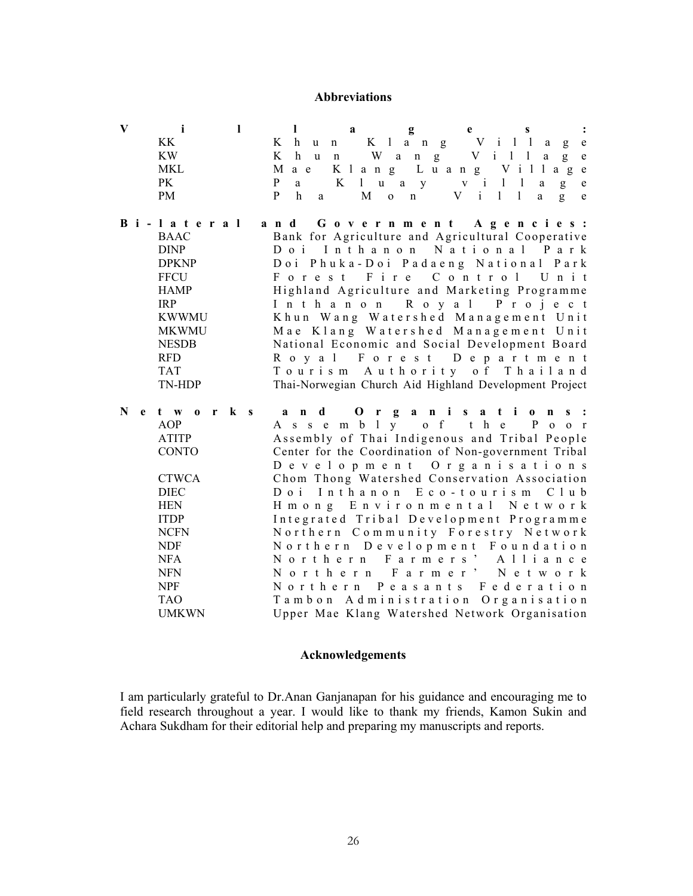#### **Abbreviations**

|                | $V$ illa $g$ ess: |  |  |  |  |  |  |  |  |  |  |  |  |  |  |                           |  |  |
|----------------|-------------------|--|--|--|--|--|--|--|--|--|--|--|--|--|--|---------------------------|--|--|
| KK             |                   |  |  |  |  |  |  |  |  |  |  |  |  |  |  | Khun Klang Village        |  |  |
| KW <sup></sup> |                   |  |  |  |  |  |  |  |  |  |  |  |  |  |  | Khun Wang Village         |  |  |
| MKL.           |                   |  |  |  |  |  |  |  |  |  |  |  |  |  |  | Mae Klang Luang Village   |  |  |
| <b>PK</b>      |                   |  |  |  |  |  |  |  |  |  |  |  |  |  |  | Pa Kluay village          |  |  |
| <b>PM</b>      |                   |  |  |  |  |  |  |  |  |  |  |  |  |  |  | P h a M o n V i l l a g e |  |  |

- **B i l a t e r a l a n d G o v e r n m e n t A g e n c i e s :**  BAAC Bank for Agriculture and Agricultural Cooperative<br>
Doilnthanon National Park Do i In than on National Park DPKNP D oi P h u k a - D oi P a d a e n g N a t i o n a l P a r k FFCU For e st Fire Control Unit HAMP Highland Agriculture and Marketing Programme IRP I n t h a n o n R o y a l P r o j e c t KWWMU K hun W ang W at ershed Management Unit MKWMU Mae Klang Watershed Management Unit NESDB National Economic and Social Development Board RFD R o y a l F o r e s t D e p a r t m e n t TAT T o u r i s m A u t h o r i t y o f T h a i l a n d TN-HDP Thai-Norwegian Church Aid Highland Development Project
- **N e t w o r k s a n d O r g a n i s a t i o n s :**  AOP A s s e m b l y o f t h e P o o r ATITP Assembly of Thai Indigenous and Tribal People CONTO Center for the Coordination of Non-government Tribal D e v e l o p m e n t O r g a n i s a t i o n s CTWCA Chom Thong Watershed Conservation Association DIEC D oi I n t h a n on E c o - t ou r i s m C l u b HEN H m o n g E n v i r o n m e n t a l N e t w o r k ITDP I n t e g r a t e d T r i b a l D e v e l o p m e n t P r o g r a m m e NCFN N orthern Community Forestry Network NDF N o r t h e r n D e v e l o p m e n t F o u n d a t i o n NFA N o r t h e r n F a r m e r s ' A l l i a n c e NFN N o r t h e r n F a r m e r ' N e t w o r k NPF N or thern P e a sants F e deration TAO Tambon Administration Organisation UMKWN Upper Mae Klang Watershed Network Organisation

#### **Acknowledgements**

I am particularly grateful to Dr.Anan Ganjanapan for his guidance and encouraging me to field research throughout a year. I would like to thank my friends, Kamon Sukin and Achara Sukdham for their editorial help and preparing my manuscripts and reports.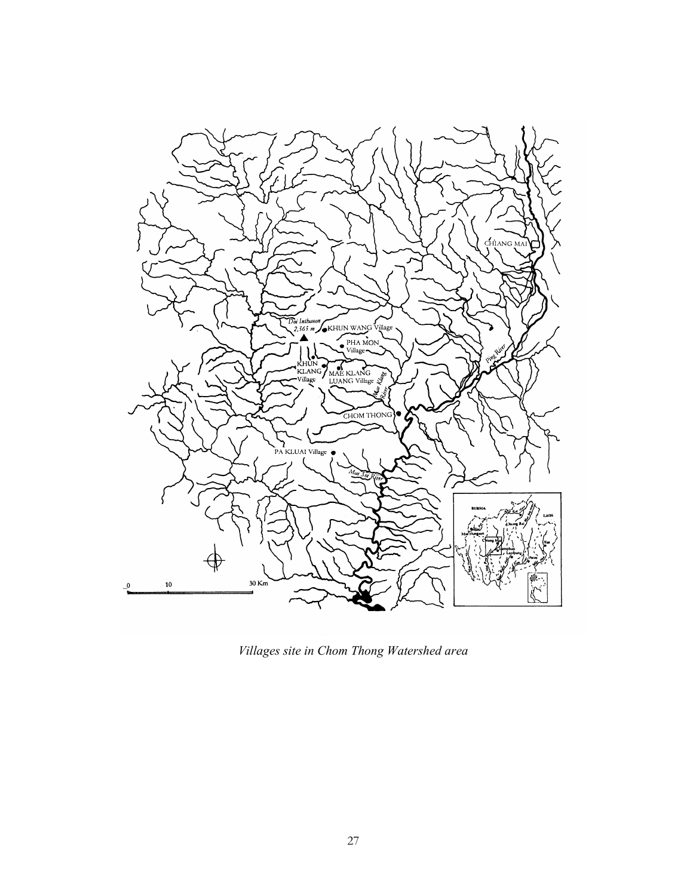

*Villages site in Chom Thong Watershed area*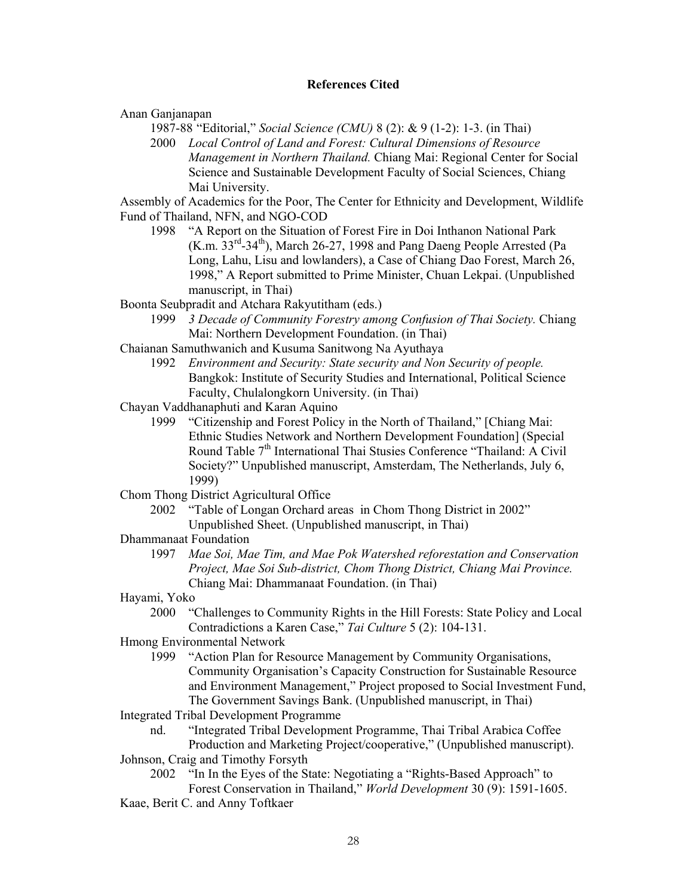# **References Cited**

Anan Ganjanapan

1987-88 "Editorial," *Social Science (CMU)* 8 (2): & 9 (1-2): 1-3. (in Thai)

2000 *Local Control of Land and Forest: Cultural Dimensions of Resource Management in Northern Thailand.* Chiang Mai: Regional Center for Social Science and Sustainable Development Faculty of Social Sciences, Chiang Mai University.

Assembly of Academics for the Poor, The Center for Ethnicity and Development, Wildlife Fund of Thailand, NFN, and NGO-COD

- 1998 "A Report on the Situation of Forest Fire in Doi Inthanon National Park  $(K.m. 33<sup>rd</sup>-34<sup>th</sup>)$ , March 26-27, 1998 and Pang Daeng People Arrested (Pa Long, Lahu, Lisu and lowlanders), a Case of Chiang Dao Forest, March 26, 1998," A Report submitted to Prime Minister, Chuan Lekpai. (Unpublished manuscript, in Thai)
- Boonta Seubpradit and Atchara Rakyutitham (eds.)
	- 1999 *3 Decade of Community Forestry among Confusion of Thai Society.* Chiang Mai: Northern Development Foundation. (in Thai)
- Chaianan Samuthwanich and Kusuma Sanitwong Na Ayuthaya
	- 1992 *Environment and Security: State security and Non Security of people.* Bangkok: Institute of Security Studies and International, Political Science Faculty, Chulalongkorn University. (in Thai)
- Chayan Vaddhanaphuti and Karan Aquino
	- 1999 "Citizenship and Forest Policy in the North of Thailand," [Chiang Mai: Ethnic Studies Network and Northern Development Foundation] (Special Round Table 7<sup>th</sup> International Thai Stusies Conference "Thailand: A Civil Society?" Unpublished manuscript, Amsterdam, The Netherlands, July 6, 1999)
- Chom Thong District Agricultural Office
	- 2002 "Table of Longan Orchard areas in Chom Thong District in 2002" Unpublished Sheet. (Unpublished manuscript, in Thai)
- Dhammanaat Foundation
	- 1997 *Mae Soi, Mae Tim, and Mae Pok Watershed reforestation and Conservation Project, Mae Soi Sub-district, Chom Thong District, Chiang Mai Province.* Chiang Mai: Dhammanaat Foundation. (in Thai)
- Hayami, Yoko
	- 2000 "Challenges to Community Rights in the Hill Forests: State Policy and Local Contradictions a Karen Case," *Tai Culture* 5 (2): 104-131.
- Hmong Environmental Network
	- 1999 "Action Plan for Resource Management by Community Organisations, Community Organisation's Capacity Construction for Sustainable Resource and Environment Management," Project proposed to Social Investment Fund, The Government Savings Bank. (Unpublished manuscript, in Thai)
- Integrated Tribal Development Programme
	- nd. "Integrated Tribal Development Programme, Thai Tribal Arabica Coffee
- Production and Marketing Project/cooperative," (Unpublished manuscript). Johnson, Craig and Timothy Forsyth
	- 2002 "In In the Eyes of the State: Negotiating a "Rights-Based Approach" to Forest Conservation in Thailand," *World Development* 30 (9): 1591-1605.
- Kaae, Berit C. and Anny Toftkaer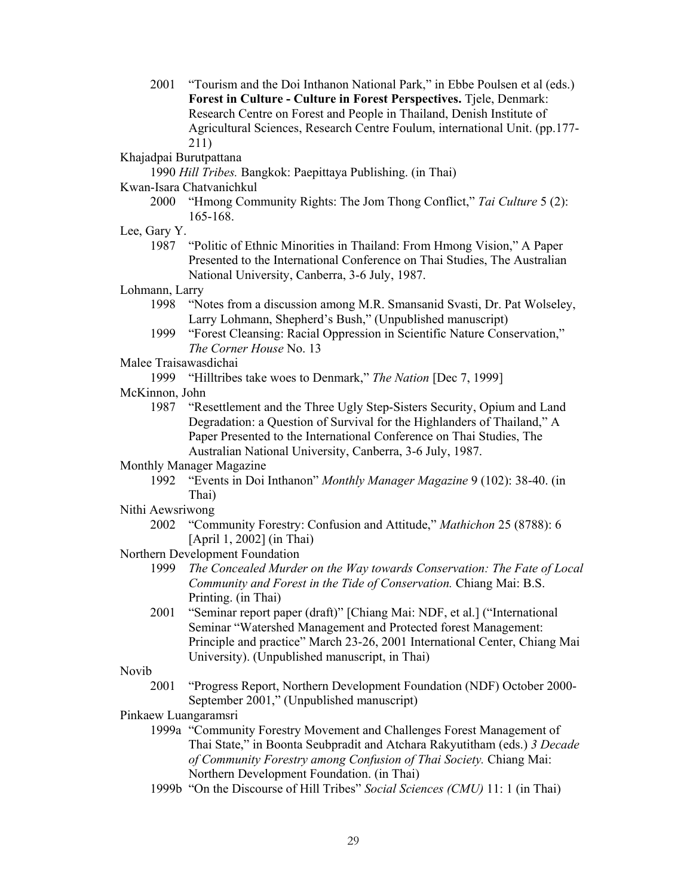2001 "Tourism and the Doi Inthanon National Park," in Ebbe Poulsen et al (eds.) **Forest in Culture - Culture in Forest Perspectives.** Tjele, Denmark: Research Centre on Forest and People in Thailand, Denish Institute of Agricultural Sciences, Research Centre Foulum, international Unit. (pp.177- 211)

Khajadpai Burutpattana

1990 *Hill Tribes.* Bangkok: Paepittaya Publishing. (in Thai)

- Kwan-Isara Chatvanichkul
	- 2000 "Hmong Community Rights: The Jom Thong Conflict," *Tai Culture* 5 (2): 165-168.
- Lee, Gary Y.
	- 1987 "Politic of Ethnic Minorities in Thailand: From Hmong Vision," A Paper Presented to the International Conference on Thai Studies, The Australian National University, Canberra, 3-6 July, 1987.

Lohmann, Larry

- 1998 "Notes from a discussion among M.R. Smansanid Svasti, Dr. Pat Wolseley, Larry Lohmann, Shepherd's Bush," (Unpublished manuscript)
- 1999 "Forest Cleansing: Racial Oppression in Scientific Nature Conservation," *The Corner House* No. 13
- Malee Traisawasdichai

1999 "Hilltribes take woes to Denmark," *The Nation* [Dec 7, 1999]

- McKinnon, John
	- 1987 "Resettlement and the Three Ugly Step-Sisters Security, Opium and Land Degradation: a Question of Survival for the Highlanders of Thailand," A Paper Presented to the International Conference on Thai Studies, The Australian National University, Canberra, 3-6 July, 1987.
- Monthly Manager Magazine
	- 1992 "Events in Doi Inthanon" *Monthly Manager Magazine* 9 (102): 38-40. (in Thai)
- Nithi Aewsriwong
	- 2002 "Community Forestry: Confusion and Attitude," *Mathichon* 25 (8788): 6 [April 1, 2002] (in Thai)
- Northern Development Foundation
	- 1999 *The Concealed Murder on the Way towards Conservation: The Fate of Local Community and Forest in the Tide of Conservation.* Chiang Mai: B.S. Printing. (in Thai)
	- 2001 "Seminar report paper (draft)" [Chiang Mai: NDF, et al.] ("International Seminar "Watershed Management and Protected forest Management: Principle and practice" March 23-26, 2001 International Center, Chiang Mai University). (Unpublished manuscript, in Thai)

Novib

- 2001 "Progress Report, Northern Development Foundation (NDF) October 2000- September 2001," (Unpublished manuscript)
- Pinkaew Luangaramsri
	- 1999a "Community Forestry Movement and Challenges Forest Management of Thai State," in Boonta Seubpradit and Atchara Rakyutitham (eds.) *3 Decade of Community Forestry among Confusion of Thai Society.* Chiang Mai: Northern Development Foundation. (in Thai)
	- 1999b "On the Discourse of Hill Tribes" *Social Sciences (CMU)* 11: 1 (in Thai)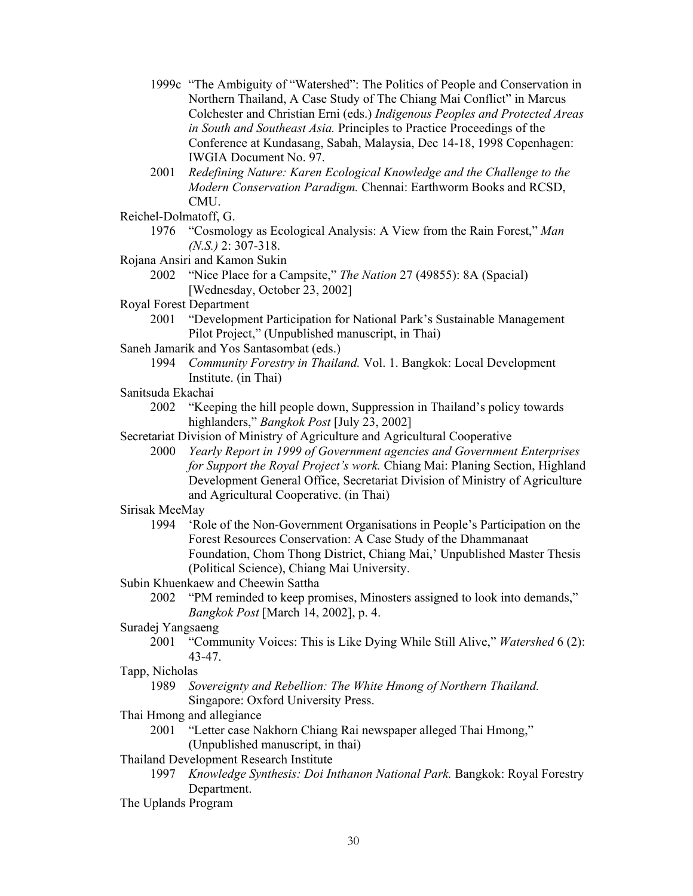- 1999c "The Ambiguity of "Watershed": The Politics of People and Conservation in Northern Thailand, A Case Study of The Chiang Mai Conflict" in Marcus Colchester and Christian Erni (eds.) *Indigenous Peoples and Protected Areas in South and Southeast Asia.* Principles to Practice Proceedings of the Conference at Kundasang, Sabah, Malaysia, Dec 14-18, 1998 Copenhagen: IWGIA Document No. 97.
- 2001 *Redefining Nature: Karen Ecological Knowledge and the Challenge to the Modern Conservation Paradigm.* Chennai: Earthworm Books and RCSD, CMU.
- Reichel-Dolmatoff, G.
	- 1976 "Cosmology as Ecological Analysis: A View from the Rain Forest," *Man (N.S.)* 2: 307-318.
- Rojana Ansiri and Kamon Sukin
	- 2002 "Nice Place for a Campsite," *The Nation* 27 (49855): 8A (Spacial) [Wednesday, October 23, 2002]
- Royal Forest Department
	- 2001 "Development Participation for National Park's Sustainable Management Pilot Project," (Unpublished manuscript, in Thai)
- Saneh Jamarik and Yos Santasombat (eds.)
	- 1994 *Community Forestry in Thailand.* Vol. 1. Bangkok: Local Development Institute. (in Thai)
- Sanitsuda Ekachai
	- 2002 "Keeping the hill people down, Suppression in Thailand's policy towards highlanders," *Bangkok Post* [July 23, 2002]
- Secretariat Division of Ministry of Agriculture and Agricultural Cooperative
	- 2000 *Yearly Report in 1999 of Government agencies and Government Enterprises for Support the Royal Project's work.* Chiang Mai: Planing Section, Highland Development General Office, Secretariat Division of Ministry of Agriculture and Agricultural Cooperative. (in Thai)

## Sirisak MeeMay

- 1994 'Role of the Non-Government Organisations in People's Participation on the Forest Resources Conservation: A Case Study of the Dhammanaat Foundation, Chom Thong District, Chiang Mai,' Unpublished Master Thesis (Political Science), Chiang Mai University.
- Subin Khuenkaew and Cheewin Sattha
	- 2002 "PM reminded to keep promises, Minosters assigned to look into demands," *Bangkok Post* [March 14, 2002], p. 4.
- Suradej Yangsaeng
	- 2001 "Community Voices: This is Like Dying While Still Alive," *Watershed* 6 (2): 43-47.
- Tapp, Nicholas
	- 1989 *Sovereignty and Rebellion: The White Hmong of Northern Thailand.* Singapore: Oxford University Press.
- Thai Hmong and allegiance
	- 2001 "Letter case Nakhorn Chiang Rai newspaper alleged Thai Hmong,"
	- (Unpublished manuscript, in thai)
- Thailand Development Research Institute
	- 1997 *Knowledge Synthesis: Doi Inthanon National Park.* Bangkok: Royal Forestry Department.
- The Uplands Program